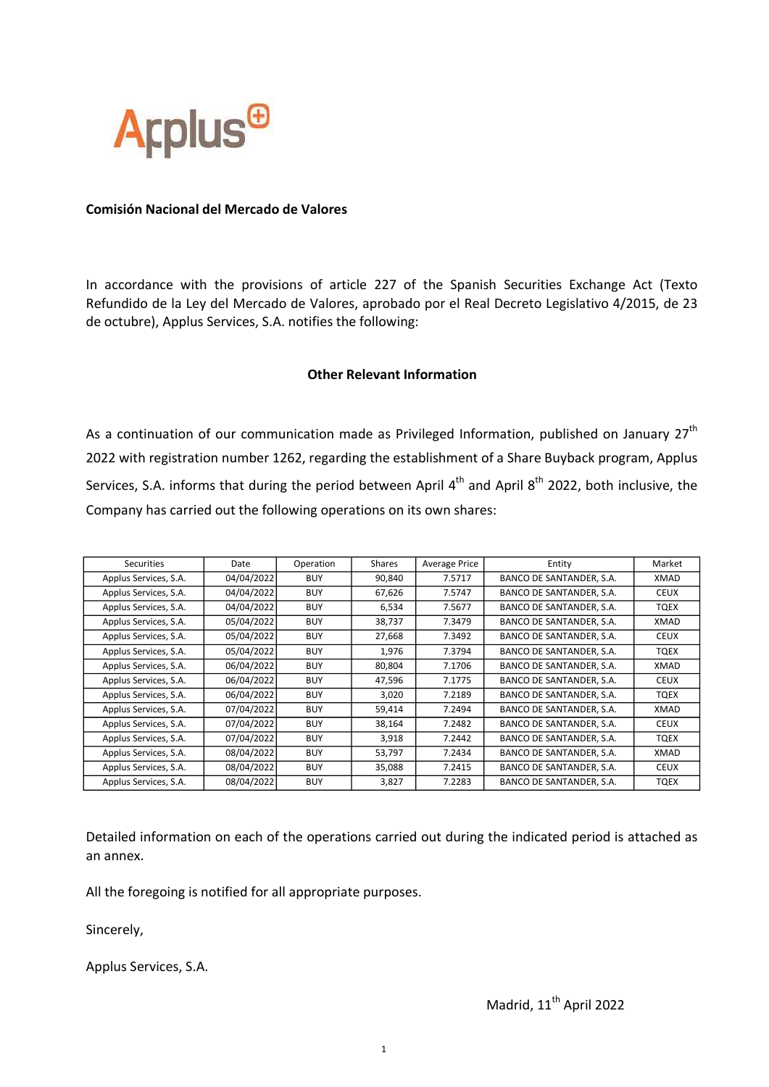

## Comisión Nacional del Mercado de Valores

In accordance with the provisions of article 227 of the Spanish Securities Exchange Act (Texto Refundido de la Ley del Mercado de Valores, aprobado por el Real Decreto Legislativo 4/2015, de 23 de octubre), Applus Services, S.A. notifies the following:

## Other Relevant Information

As a continuation of our communication made as Privileged Information, published on January  $27<sup>th</sup>$ 2022 with registration number 1262, regarding the establishment of a Share Buyback program, Applus Services, S.A. informs that during the period between April  $4^{th}$  and April  $8^{th}$  2022, both inclusive, the Company has carried out the following operations on its own shares:

| Securities            | Date       | Operation  | Shares | <b>Average Price</b> | Entity                          | Market      |
|-----------------------|------------|------------|--------|----------------------|---------------------------------|-------------|
| Applus Services, S.A. | 04/04/2022 | <b>BUY</b> | 90,840 | 7.5717               | BANCO DE SANTANDER, S.A.        | XMAD        |
| Applus Services, S.A. | 04/04/2022 | <b>BUY</b> | 67,626 | 7.5747               | BANCO DE SANTANDER, S.A.        | <b>CEUX</b> |
| Applus Services, S.A. | 04/04/2022 | <b>BUY</b> | 6,534  | 7.5677               | BANCO DE SANTANDER, S.A.        | TQEX        |
| Applus Services, S.A. | 05/04/2022 | <b>BUY</b> | 38,737 | 7.3479               | BANCO DE SANTANDER, S.A.        | XMAD        |
| Applus Services, S.A. | 05/04/2022 | <b>BUY</b> | 27,668 | 7.3492               | BANCO DE SANTANDER, S.A.        | <b>CEUX</b> |
| Applus Services, S.A. | 05/04/2022 | <b>BUY</b> | 1,976  | 7.3794               | BANCO DE SANTANDER, S.A.        | TQEX        |
| Applus Services, S.A. | 06/04/2022 | <b>BUY</b> | 80,804 | 7.1706               | BANCO DE SANTANDER, S.A.        | XMAD        |
| Applus Services, S.A. | 06/04/2022 | <b>BUY</b> | 47,596 | 7.1775               | BANCO DE SANTANDER, S.A.        | <b>CEUX</b> |
| Applus Services, S.A. | 06/04/2022 | <b>BUY</b> | 3,020  | 7.2189               | BANCO DE SANTANDER, S.A.        | TQEX        |
| Applus Services, S.A. | 07/04/2022 | <b>BUY</b> | 59,414 | 7.2494               | <b>BANCO DE SANTANDER, S.A.</b> | XMAD        |
| Applus Services, S.A. | 07/04/2022 | <b>BUY</b> | 38,164 | 7.2482               | BANCO DE SANTANDER, S.A.        | <b>CEUX</b> |
| Applus Services, S.A. | 07/04/2022 | <b>BUY</b> | 3,918  | 7.2442               | BANCO DE SANTANDER, S.A.        | TQEX        |
| Applus Services, S.A. | 08/04/2022 | <b>BUY</b> | 53,797 | 7.2434               | BANCO DE SANTANDER, S.A.        | XMAD        |
| Applus Services, S.A. | 08/04/2022 | <b>BUY</b> | 35,088 | 7.2415               | BANCO DE SANTANDER, S.A.        | <b>CEUX</b> |
| Applus Services, S.A. | 08/04/2022 | <b>BUY</b> | 3,827  | 7.2283               | BANCO DE SANTANDER, S.A.        | <b>TQEX</b> |

Detailed information on each of the operations carried out during the indicated period is attached as an annex.

All the foregoing is notified for all appropriate purposes.

Sincerely,

Applus Services, S.A.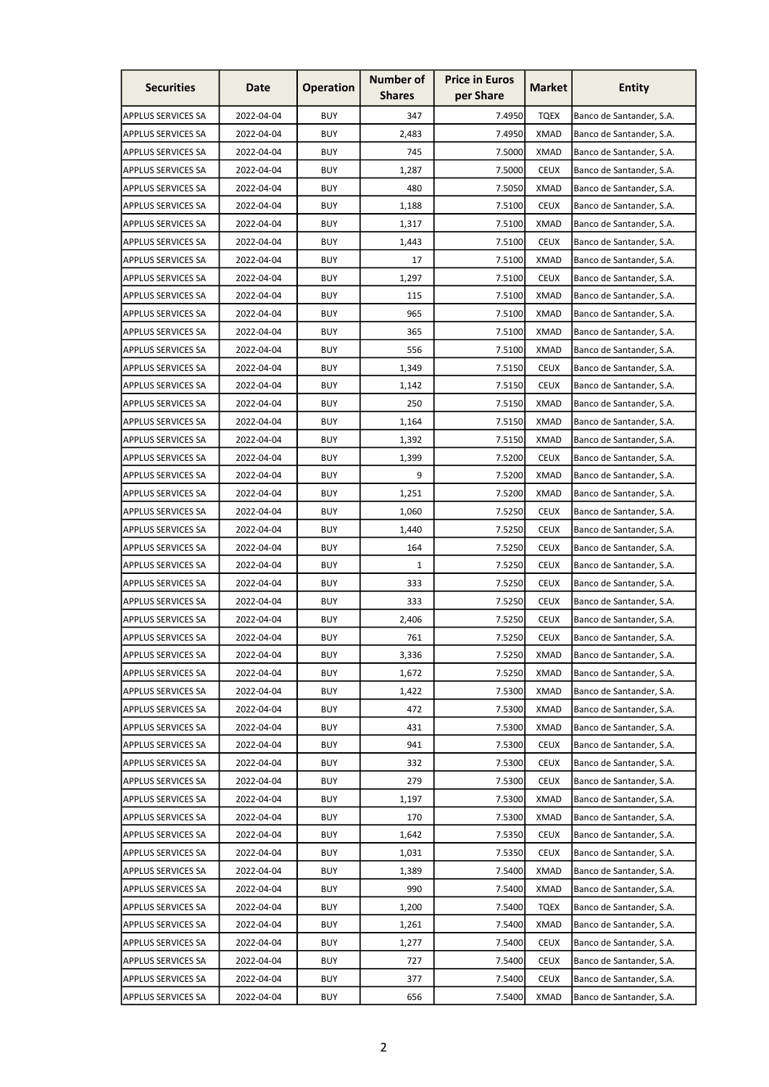| <b>Securities</b>         | Date       | <b>Operation</b> | <b>Number of</b><br><b>Shares</b> | <b>Price in Euros</b><br>per Share | <b>Market</b> | Entity                   |
|---------------------------|------------|------------------|-----------------------------------|------------------------------------|---------------|--------------------------|
| <b>APPLUS SERVICES SA</b> | 2022-04-04 | <b>BUY</b>       | 347                               | 7.4950                             | <b>TQEX</b>   | Banco de Santander, S.A. |
| <b>APPLUS SERVICES SA</b> | 2022-04-04 | <b>BUY</b>       | 2,483                             | 7.4950                             | <b>XMAD</b>   | Banco de Santander, S.A. |
| <b>APPLUS SERVICES SA</b> | 2022-04-04 | <b>BUY</b>       | 745                               | 7.5000                             | <b>XMAD</b>   | Banco de Santander, S.A. |
| <b>APPLUS SERVICES SA</b> | 2022-04-04 | <b>BUY</b>       | 1,287                             | 7.5000                             | <b>CEUX</b>   | Banco de Santander, S.A. |
| <b>APPLUS SERVICES SA</b> | 2022-04-04 | <b>BUY</b>       | 480                               | 7.5050                             | <b>XMAD</b>   | Banco de Santander, S.A. |
| <b>APPLUS SERVICES SA</b> | 2022-04-04 | <b>BUY</b>       | 1,188                             | 7.5100                             | <b>CEUX</b>   | Banco de Santander, S.A. |
| <b>APPLUS SERVICES SA</b> | 2022-04-04 | <b>BUY</b>       | 1,317                             | 7.5100                             | XMAD          | Banco de Santander, S.A. |
| <b>APPLUS SERVICES SA</b> | 2022-04-04 | <b>BUY</b>       | 1,443                             | 7.5100                             | <b>CEUX</b>   | Banco de Santander, S.A. |
| <b>APPLUS SERVICES SA</b> | 2022-04-04 | <b>BUY</b>       | 17                                | 7.5100                             | <b>XMAD</b>   | Banco de Santander, S.A. |
| <b>APPLUS SERVICES SA</b> | 2022-04-04 | <b>BUY</b>       | 1,297                             | 7.5100                             | <b>CEUX</b>   | Banco de Santander, S.A. |
| <b>APPLUS SERVICES SA</b> | 2022-04-04 | <b>BUY</b>       | 115                               | 7.5100                             | <b>XMAD</b>   | Banco de Santander, S.A. |
| <b>APPLUS SERVICES SA</b> | 2022-04-04 | <b>BUY</b>       | 965                               | 7.5100                             | <b>XMAD</b>   | Banco de Santander, S.A. |
| <b>APPLUS SERVICES SA</b> | 2022-04-04 | <b>BUY</b>       | 365                               | 7.5100                             | <b>XMAD</b>   | Banco de Santander, S.A. |
| <b>APPLUS SERVICES SA</b> | 2022-04-04 | <b>BUY</b>       | 556                               | 7.5100                             | <b>XMAD</b>   | Banco de Santander, S.A. |
| <b>APPLUS SERVICES SA</b> | 2022-04-04 | <b>BUY</b>       | 1,349                             | 7.5150                             | <b>CEUX</b>   | Banco de Santander, S.A. |
| <b>APPLUS SERVICES SA</b> | 2022-04-04 | <b>BUY</b>       | 1,142                             | 7.5150                             | <b>CEUX</b>   | Banco de Santander, S.A. |
| <b>APPLUS SERVICES SA</b> | 2022-04-04 | <b>BUY</b>       | 250                               | 7.5150                             | <b>XMAD</b>   | Banco de Santander, S.A. |
| <b>APPLUS SERVICES SA</b> | 2022-04-04 | <b>BUY</b>       | 1,164                             | 7.5150                             | <b>XMAD</b>   | Banco de Santander, S.A. |
| <b>APPLUS SERVICES SA</b> | 2022-04-04 | <b>BUY</b>       | 1,392                             | 7.5150                             | <b>XMAD</b>   | Banco de Santander, S.A. |
| <b>APPLUS SERVICES SA</b> | 2022-04-04 | <b>BUY</b>       | 1,399                             | 7.5200                             | <b>CEUX</b>   | Banco de Santander, S.A. |
| <b>APPLUS SERVICES SA</b> | 2022-04-04 | <b>BUY</b>       | 9                                 | 7.5200                             | <b>XMAD</b>   | Banco de Santander, S.A. |
| <b>APPLUS SERVICES SA</b> | 2022-04-04 | <b>BUY</b>       | 1,251                             | 7.5200                             | <b>XMAD</b>   | Banco de Santander, S.A. |
| <b>APPLUS SERVICES SA</b> | 2022-04-04 | <b>BUY</b>       | 1,060                             | 7.5250                             | <b>CEUX</b>   | Banco de Santander, S.A. |
| <b>APPLUS SERVICES SA</b> | 2022-04-04 | <b>BUY</b>       | 1,440                             | 7.5250                             | <b>CEUX</b>   | Banco de Santander, S.A. |
| <b>APPLUS SERVICES SA</b> | 2022-04-04 | <b>BUY</b>       | 164                               | 7.5250                             | <b>CEUX</b>   | Banco de Santander, S.A. |
| <b>APPLUS SERVICES SA</b> | 2022-04-04 | <b>BUY</b>       | $\mathbf{1}$                      | 7.5250                             | <b>CEUX</b>   | Banco de Santander, S.A. |
| <b>APPLUS SERVICES SA</b> | 2022-04-04 | <b>BUY</b>       | 333                               | 7.5250                             | <b>CEUX</b>   | Banco de Santander, S.A. |
| <b>APPLUS SERVICES SA</b> | 2022-04-04 | <b>BUY</b>       | 333                               | 7.5250                             | <b>CEUX</b>   | Banco de Santander, S.A. |
| <b>APPLUS SERVICES SA</b> | 2022-04-04 | <b>BUY</b>       | 2,406                             | 7.5250                             | <b>CEUX</b>   | Banco de Santander, S.A. |
| <b>APPLUS SERVICES SA</b> | 2022-04-04 | <b>BUY</b>       | 761                               | 7.5250                             | <b>CEUX</b>   | Banco de Santander, S.A. |
| <b>APPLUS SERVICES SA</b> | 2022-04-04 | <b>BUY</b>       | 3,336                             | 7.5250                             | <b>XMAD</b>   | Banco de Santander, S.A. |
| <b>APPLUS SERVICES SA</b> | 2022-04-04 | <b>BUY</b>       | 1,672                             | 7.5250                             | <b>XMAD</b>   | Banco de Santander, S.A. |
| <b>APPLUS SERVICES SA</b> | 2022-04-04 | <b>BUY</b>       | 1,422                             | 7.5300                             | <b>XMAD</b>   | Banco de Santander, S.A. |
| <b>APPLUS SERVICES SA</b> | 2022-04-04 | <b>BUY</b>       | 472                               | 7.5300                             | <b>XMAD</b>   | Banco de Santander, S.A. |
| <b>APPLUS SERVICES SA</b> | 2022-04-04 | <b>BUY</b>       | 431                               | 7.5300                             | <b>XMAD</b>   | Banco de Santander, S.A. |
| <b>APPLUS SERVICES SA</b> | 2022-04-04 | <b>BUY</b>       | 941                               | 7.5300                             | <b>CEUX</b>   | Banco de Santander, S.A. |
| <b>APPLUS SERVICES SA</b> | 2022-04-04 | <b>BUY</b>       | 332                               | 7.5300                             | <b>CEUX</b>   | Banco de Santander, S.A. |
| <b>APPLUS SERVICES SA</b> | 2022-04-04 | <b>BUY</b>       | 279                               | 7.5300                             | <b>CEUX</b>   | Banco de Santander, S.A. |
| <b>APPLUS SERVICES SA</b> | 2022-04-04 | <b>BUY</b>       | 1,197                             | 7.5300                             | <b>XMAD</b>   | Banco de Santander, S.A. |
| <b>APPLUS SERVICES SA</b> | 2022-04-04 | <b>BUY</b>       | 170                               | 7.5300                             | <b>XMAD</b>   | Banco de Santander, S.A. |
| <b>APPLUS SERVICES SA</b> | 2022-04-04 | <b>BUY</b>       | 1,642                             | 7.5350                             | <b>CEUX</b>   | Banco de Santander, S.A. |
| APPLUS SERVICES SA        | 2022-04-04 | <b>BUY</b>       | 1,031                             | 7.5350                             | <b>CEUX</b>   | Banco de Santander, S.A. |
| <b>APPLUS SERVICES SA</b> | 2022-04-04 | <b>BUY</b>       | 1,389                             | 7.5400                             | <b>XMAD</b>   | Banco de Santander, S.A. |
| <b>APPLUS SERVICES SA</b> | 2022-04-04 | <b>BUY</b>       | 990                               | 7.5400                             | <b>XMAD</b>   | Banco de Santander, S.A. |
| <b>APPLUS SERVICES SA</b> | 2022-04-04 | <b>BUY</b>       | 1,200                             | 7.5400                             | <b>TQEX</b>   | Banco de Santander, S.A. |
| <b>APPLUS SERVICES SA</b> | 2022-04-04 | <b>BUY</b>       | 1,261                             | 7.5400                             | <b>XMAD</b>   | Banco de Santander, S.A. |
| <b>APPLUS SERVICES SA</b> | 2022-04-04 | <b>BUY</b>       | 1,277                             | 7.5400                             | <b>CEUX</b>   | Banco de Santander, S.A. |
| <b>APPLUS SERVICES SA</b> | 2022-04-04 | <b>BUY</b>       | 727                               | 7.5400                             | <b>CEUX</b>   | Banco de Santander, S.A. |
| <b>APPLUS SERVICES SA</b> | 2022-04-04 | <b>BUY</b>       | 377                               | 7.5400                             | <b>CEUX</b>   | Banco de Santander, S.A. |
| <b>APPLUS SERVICES SA</b> | 2022-04-04 | <b>BUY</b>       | 656                               | 7.5400                             | <b>XMAD</b>   | Banco de Santander, S.A. |
|                           |            |                  |                                   |                                    |               |                          |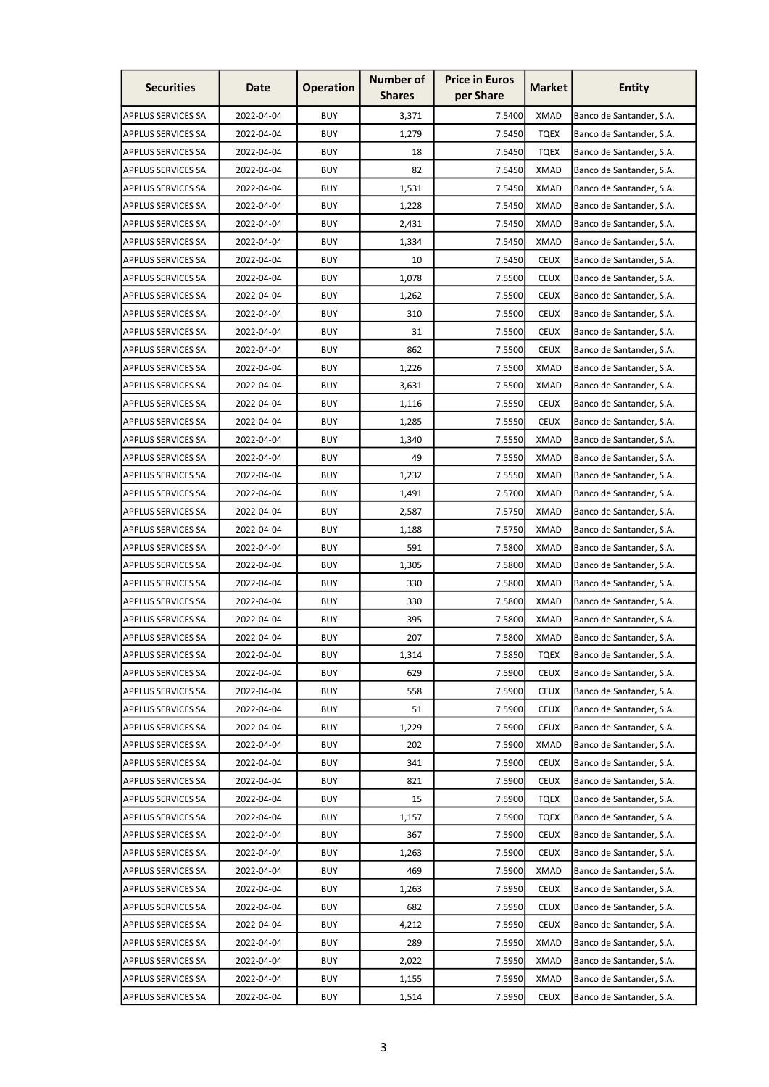| <b>Securities</b>         | Date       | <b>Operation</b> | <b>Number of</b><br><b>Shares</b> | <b>Price in Euros</b><br>per Share | <b>Market</b> | Entity                   |
|---------------------------|------------|------------------|-----------------------------------|------------------------------------|---------------|--------------------------|
| <b>APPLUS SERVICES SA</b> | 2022-04-04 | <b>BUY</b>       | 3,371                             | 7.5400                             | <b>XMAD</b>   | Banco de Santander, S.A. |
| <b>APPLUS SERVICES SA</b> | 2022-04-04 | <b>BUY</b>       | 1,279                             | 7.5450                             | <b>TOEX</b>   | Banco de Santander, S.A. |
| <b>APPLUS SERVICES SA</b> | 2022-04-04 | <b>BUY</b>       | 18                                | 7.5450                             | <b>TQEX</b>   | Banco de Santander, S.A. |
| <b>APPLUS SERVICES SA</b> | 2022-04-04 | <b>BUY</b>       | 82                                | 7.5450                             | <b>XMAD</b>   | Banco de Santander, S.A. |
| <b>APPLUS SERVICES SA</b> | 2022-04-04 | <b>BUY</b>       | 1,531                             | 7.5450                             | <b>XMAD</b>   | Banco de Santander, S.A. |
| <b>APPLUS SERVICES SA</b> | 2022-04-04 | <b>BUY</b>       | 1,228                             | 7.5450                             | <b>XMAD</b>   | Banco de Santander, S.A. |
| <b>APPLUS SERVICES SA</b> | 2022-04-04 | <b>BUY</b>       | 2,431                             | 7.5450                             | XMAD          | Banco de Santander, S.A. |
| <b>APPLUS SERVICES SA</b> | 2022-04-04 | <b>BUY</b>       | 1,334                             | 7.5450                             | <b>XMAD</b>   | Banco de Santander, S.A. |
| <b>APPLUS SERVICES SA</b> | 2022-04-04 | <b>BUY</b>       | 10                                | 7.5450                             | <b>CEUX</b>   | Banco de Santander, S.A. |
| <b>APPLUS SERVICES SA</b> | 2022-04-04 | <b>BUY</b>       | 1,078                             | 7.5500                             | <b>CEUX</b>   | Banco de Santander, S.A. |
| <b>APPLUS SERVICES SA</b> | 2022-04-04 | <b>BUY</b>       | 1,262                             | 7.5500                             | <b>CEUX</b>   | Banco de Santander, S.A. |
| <b>APPLUS SERVICES SA</b> | 2022-04-04 | <b>BUY</b>       | 310                               | 7.5500                             | <b>CEUX</b>   | Banco de Santander, S.A. |
| <b>APPLUS SERVICES SA</b> | 2022-04-04 | <b>BUY</b>       | 31                                | 7.5500                             | <b>CEUX</b>   | Banco de Santander, S.A. |
| <b>APPLUS SERVICES SA</b> | 2022-04-04 | <b>BUY</b>       | 862                               | 7.5500                             | <b>CEUX</b>   | Banco de Santander, S.A. |
| <b>APPLUS SERVICES SA</b> | 2022-04-04 | <b>BUY</b>       | 1,226                             | 7.5500                             | <b>XMAD</b>   | Banco de Santander, S.A. |
| <b>APPLUS SERVICES SA</b> | 2022-04-04 | <b>BUY</b>       | 3,631                             | 7.5500                             | <b>XMAD</b>   | Banco de Santander, S.A. |
| <b>APPLUS SERVICES SA</b> | 2022-04-04 | <b>BUY</b>       | 1,116                             | 7.5550                             | <b>CEUX</b>   | Banco de Santander, S.A. |
| <b>APPLUS SERVICES SA</b> | 2022-04-04 | <b>BUY</b>       | 1,285                             | 7.5550                             | <b>CEUX</b>   | Banco de Santander, S.A. |
| <b>APPLUS SERVICES SA</b> | 2022-04-04 | <b>BUY</b>       | 1,340                             | 7.5550                             | <b>XMAD</b>   | Banco de Santander, S.A. |
| <b>APPLUS SERVICES SA</b> | 2022-04-04 | <b>BUY</b>       | 49                                | 7.5550                             | XMAD          | Banco de Santander, S.A. |
| <b>APPLUS SERVICES SA</b> | 2022-04-04 | <b>BUY</b>       | 1,232                             | 7.5550                             | <b>XMAD</b>   | Banco de Santander, S.A. |
| <b>APPLUS SERVICES SA</b> | 2022-04-04 | <b>BUY</b>       | 1,491                             | 7.5700                             | <b>XMAD</b>   | Banco de Santander, S.A. |
| <b>APPLUS SERVICES SA</b> | 2022-04-04 | <b>BUY</b>       | 2,587                             | 7.5750                             | <b>XMAD</b>   | Banco de Santander, S.A. |
| <b>APPLUS SERVICES SA</b> | 2022-04-04 | <b>BUY</b>       | 1,188                             | 7.5750                             | <b>XMAD</b>   | Banco de Santander, S.A. |
| <b>APPLUS SERVICES SA</b> | 2022-04-04 | <b>BUY</b>       | 591                               | 7.5800                             | <b>XMAD</b>   | Banco de Santander, S.A. |
| <b>APPLUS SERVICES SA</b> | 2022-04-04 | <b>BUY</b>       | 1,305                             | 7.5800                             | XMAD          | Banco de Santander, S.A. |
| <b>APPLUS SERVICES SA</b> | 2022-04-04 | <b>BUY</b>       | 330                               | 7.5800                             | <b>XMAD</b>   | Banco de Santander, S.A. |
| <b>APPLUS SERVICES SA</b> | 2022-04-04 | <b>BUY</b>       | 330                               | 7.5800                             | <b>XMAD</b>   | Banco de Santander, S.A. |
| <b>APPLUS SERVICES SA</b> | 2022-04-04 | <b>BUY</b>       | 395                               | 7.5800                             | <b>XMAD</b>   | Banco de Santander, S.A. |
| <b>APPLUS SERVICES SA</b> | 2022-04-04 | <b>BUY</b>       | 207                               | 7.5800                             | <b>XMAD</b>   | Banco de Santander, S.A. |
| <b>APPLUS SERVICES SA</b> | 2022-04-04 | <b>BUY</b>       | 1,314                             | 7.5850                             | <b>TQEX</b>   | Banco de Santander, S.A. |
| <b>APPLUS SERVICES SA</b> | 2022-04-04 | <b>BUY</b>       | 629                               | 7.5900                             | <b>CEUX</b>   | Banco de Santander, S.A. |
| <b>APPLUS SERVICES SA</b> | 2022-04-04 | <b>BUY</b>       | 558                               | 7.5900                             | <b>CEUX</b>   | Banco de Santander, S.A. |
| <b>APPLUS SERVICES SA</b> | 2022-04-04 | <b>BUY</b>       | 51                                | 7.5900                             | <b>CEUX</b>   | Banco de Santander, S.A. |
| <b>APPLUS SERVICES SA</b> | 2022-04-04 | <b>BUY</b>       | 1,229                             | 7.5900                             | <b>CEUX</b>   | Banco de Santander, S.A. |
| <b>APPLUS SERVICES SA</b> | 2022-04-04 | <b>BUY</b>       | 202                               | 7.5900                             | <b>XMAD</b>   | Banco de Santander, S.A. |
| <b>APPLUS SERVICES SA</b> | 2022-04-04 | <b>BUY</b>       | 341                               | 7.5900                             | <b>CEUX</b>   | Banco de Santander, S.A. |
| <b>APPLUS SERVICES SA</b> | 2022-04-04 | <b>BUY</b>       | 821                               | 7.5900                             | <b>CEUX</b>   | Banco de Santander, S.A. |
| <b>APPLUS SERVICES SA</b> | 2022-04-04 | <b>BUY</b>       | 15                                | 7.5900                             | <b>TQEX</b>   | Banco de Santander, S.A. |
| <b>APPLUS SERVICES SA</b> | 2022-04-04 | <b>BUY</b>       | 1,157                             | 7.5900                             | <b>TQEX</b>   | Banco de Santander, S.A. |
| <b>APPLUS SERVICES SA</b> | 2022-04-04 | <b>BUY</b>       | 367                               | 7.5900                             | <b>CEUX</b>   | Banco de Santander, S.A. |
| <b>APPLUS SERVICES SA</b> | 2022-04-04 | <b>BUY</b>       | 1,263                             | 7.5900                             | <b>CEUX</b>   | Banco de Santander, S.A. |
| <b>APPLUS SERVICES SA</b> | 2022-04-04 | <b>BUY</b>       | 469                               | 7.5900                             | <b>XMAD</b>   | Banco de Santander, S.A. |
| <b>APPLUS SERVICES SA</b> | 2022-04-04 | <b>BUY</b>       | 1,263                             | 7.5950                             | <b>CEUX</b>   | Banco de Santander, S.A. |
| <b>APPLUS SERVICES SA</b> | 2022-04-04 | <b>BUY</b>       | 682                               | 7.5950                             | <b>CEUX</b>   | Banco de Santander, S.A. |
| <b>APPLUS SERVICES SA</b> | 2022-04-04 | <b>BUY</b>       | 4,212                             | 7.5950                             | <b>CEUX</b>   | Banco de Santander, S.A. |
| <b>APPLUS SERVICES SA</b> | 2022-04-04 | <b>BUY</b>       | 289                               | 7.5950                             | <b>XMAD</b>   | Banco de Santander, S.A. |
| <b>APPLUS SERVICES SA</b> | 2022-04-04 | <b>BUY</b>       | 2,022                             | 7.5950                             | <b>XMAD</b>   | Banco de Santander, S.A. |
| <b>APPLUS SERVICES SA</b> | 2022-04-04 | <b>BUY</b>       | 1,155                             | 7.5950                             | <b>XMAD</b>   | Banco de Santander, S.A. |
| <b>APPLUS SERVICES SA</b> | 2022-04-04 | <b>BUY</b>       | 1,514                             | 7.5950                             | <b>CEUX</b>   | Banco de Santander, S.A. |
|                           |            |                  |                                   |                                    |               |                          |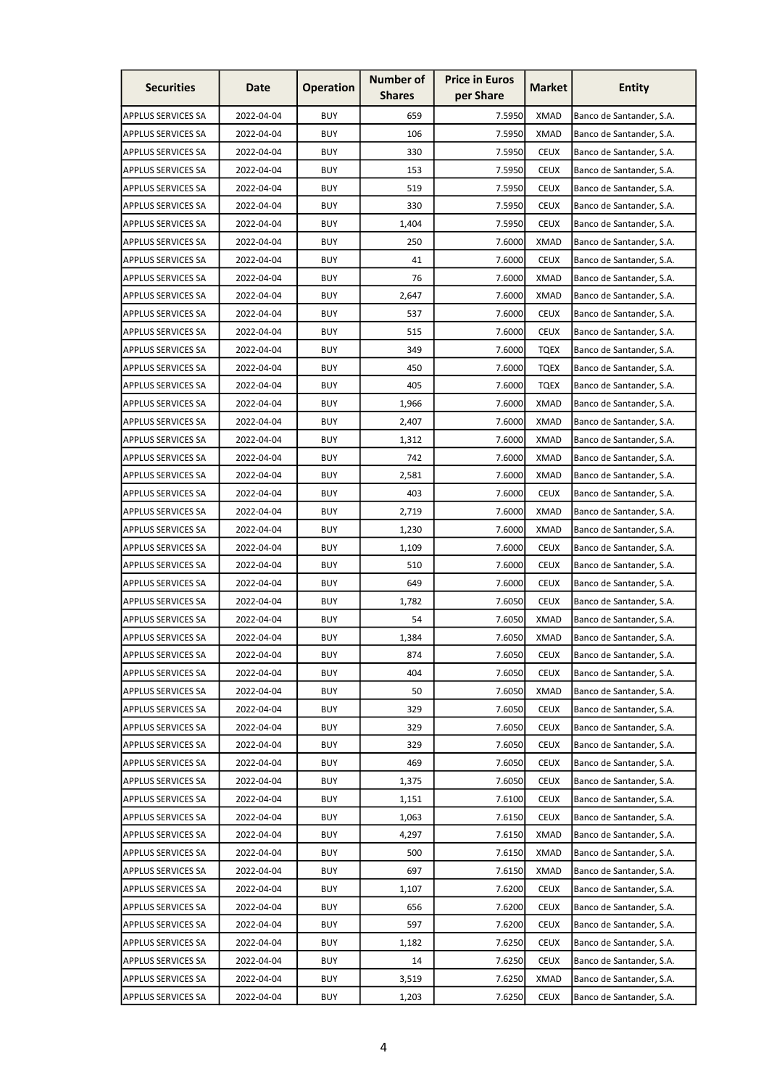| <b>Securities</b>         | Date       | <b>Operation</b> | <b>Number of</b><br><b>Shares</b> | <b>Price in Euros</b><br>per Share | <b>Market</b> | <b>Entity</b>            |
|---------------------------|------------|------------------|-----------------------------------|------------------------------------|---------------|--------------------------|
| <b>APPLUS SERVICES SA</b> | 2022-04-04 | <b>BUY</b>       | 659                               | 7.5950                             | <b>XMAD</b>   | Banco de Santander, S.A. |
| <b>APPLUS SERVICES SA</b> | 2022-04-04 | <b>BUY</b>       | 106                               | 7.5950                             | <b>XMAD</b>   | Banco de Santander, S.A. |
| <b>APPLUS SERVICES SA</b> | 2022-04-04 | <b>BUY</b>       | 330                               | 7.5950                             | <b>CEUX</b>   | Banco de Santander, S.A. |
| <b>APPLUS SERVICES SA</b> | 2022-04-04 | <b>BUY</b>       | 153                               | 7.5950                             | <b>CEUX</b>   | Banco de Santander, S.A. |
| <b>APPLUS SERVICES SA</b> | 2022-04-04 | <b>BUY</b>       | 519                               | 7.5950                             | <b>CEUX</b>   | Banco de Santander, S.A. |
| <b>APPLUS SERVICES SA</b> | 2022-04-04 | <b>BUY</b>       | 330                               | 7.5950                             | <b>CEUX</b>   | Banco de Santander, S.A. |
| <b>APPLUS SERVICES SA</b> | 2022-04-04 | <b>BUY</b>       | 1,404                             | 7.5950                             | <b>CEUX</b>   | Banco de Santander, S.A. |
| <b>APPLUS SERVICES SA</b> | 2022-04-04 | <b>BUY</b>       | 250                               | 7.6000                             | <b>XMAD</b>   | Banco de Santander, S.A. |
| <b>APPLUS SERVICES SA</b> | 2022-04-04 | <b>BUY</b>       | 41                                | 7.6000                             | <b>CEUX</b>   | Banco de Santander, S.A. |
| <b>APPLUS SERVICES SA</b> | 2022-04-04 | <b>BUY</b>       | 76                                | 7.6000                             | <b>XMAD</b>   | Banco de Santander, S.A. |
| <b>APPLUS SERVICES SA</b> | 2022-04-04 | <b>BUY</b>       | 2,647                             | 7.6000                             | <b>XMAD</b>   | Banco de Santander, S.A. |
| <b>APPLUS SERVICES SA</b> | 2022-04-04 | <b>BUY</b>       | 537                               | 7.6000                             | <b>CEUX</b>   | Banco de Santander, S.A. |
| <b>APPLUS SERVICES SA</b> | 2022-04-04 | <b>BUY</b>       | 515                               | 7.6000                             | <b>CEUX</b>   | Banco de Santander, S.A. |
| <b>APPLUS SERVICES SA</b> | 2022-04-04 | <b>BUY</b>       | 349                               | 7.6000                             | <b>TQEX</b>   | Banco de Santander, S.A. |
| <b>APPLUS SERVICES SA</b> | 2022-04-04 | <b>BUY</b>       | 450                               | 7.6000                             | <b>TQEX</b>   | Banco de Santander, S.A. |
| <b>APPLUS SERVICES SA</b> | 2022-04-04 | <b>BUY</b>       | 405                               | 7.6000                             | <b>TQEX</b>   | Banco de Santander, S.A. |
| <b>APPLUS SERVICES SA</b> | 2022-04-04 | <b>BUY</b>       | 1,966                             | 7.6000                             | <b>XMAD</b>   | Banco de Santander, S.A. |
| <b>APPLUS SERVICES SA</b> | 2022-04-04 | <b>BUY</b>       | 2,407                             | 7.6000                             | <b>XMAD</b>   | Banco de Santander, S.A. |
| <b>APPLUS SERVICES SA</b> | 2022-04-04 | <b>BUY</b>       | 1,312                             | 7.6000                             | <b>XMAD</b>   | Banco de Santander, S.A. |
| <b>APPLUS SERVICES SA</b> | 2022-04-04 | <b>BUY</b>       | 742                               | 7.6000                             | <b>XMAD</b>   | Banco de Santander, S.A. |
| <b>APPLUS SERVICES SA</b> | 2022-04-04 | <b>BUY</b>       | 2,581                             | 7.6000                             | <b>XMAD</b>   | Banco de Santander, S.A. |
| <b>APPLUS SERVICES SA</b> | 2022-04-04 | <b>BUY</b>       | 403                               | 7.6000                             | <b>CEUX</b>   | Banco de Santander, S.A. |
| <b>APPLUS SERVICES SA</b> | 2022-04-04 | <b>BUY</b>       | 2,719                             | 7.6000                             | <b>XMAD</b>   | Banco de Santander, S.A. |
| <b>APPLUS SERVICES SA</b> | 2022-04-04 | <b>BUY</b>       | 1,230                             | 7.6000                             | <b>XMAD</b>   | Banco de Santander, S.A. |
| <b>APPLUS SERVICES SA</b> | 2022-04-04 | <b>BUY</b>       | 1,109                             | 7.6000                             | <b>CEUX</b>   | Banco de Santander, S.A. |
| <b>APPLUS SERVICES SA</b> | 2022-04-04 | <b>BUY</b>       | 510                               | 7.6000                             | <b>CEUX</b>   | Banco de Santander, S.A. |
| <b>APPLUS SERVICES SA</b> | 2022-04-04 | <b>BUY</b>       | 649                               | 7.6000                             | <b>CEUX</b>   | Banco de Santander, S.A. |
| <b>APPLUS SERVICES SA</b> | 2022-04-04 | <b>BUY</b>       | 1,782                             | 7.6050                             | <b>CEUX</b>   | Banco de Santander, S.A. |
| <b>APPLUS SERVICES SA</b> | 2022-04-04 | <b>BUY</b>       | 54                                | 7.6050                             | <b>XMAD</b>   | Banco de Santander, S.A. |
| <b>APPLUS SERVICES SA</b> | 2022-04-04 | <b>BUY</b>       | 1,384                             | 7.6050                             | <b>XMAD</b>   | Banco de Santander, S.A. |
| <b>APPLUS SERVICES SA</b> | 2022-04-04 | <b>BUY</b>       | 874                               | 7.6050                             | <b>CEUX</b>   | Banco de Santander, S.A. |
| <b>APPLUS SERVICES SA</b> | 2022-04-04 | <b>BUY</b>       | 404                               | 7.6050                             | <b>CEUX</b>   | Banco de Santander, S.A. |
| <b>APPLUS SERVICES SA</b> | 2022-04-04 | <b>BUY</b>       | 50                                | 7.6050                             | <b>XMAD</b>   | Banco de Santander, S.A. |
| <b>APPLUS SERVICES SA</b> | 2022-04-04 | <b>BUY</b>       | 329                               | 7.6050                             | <b>CEUX</b>   | Banco de Santander, S.A. |
| <b>APPLUS SERVICES SA</b> | 2022-04-04 | <b>BUY</b>       | 329                               | 7.6050                             | <b>CEUX</b>   | Banco de Santander, S.A. |
| <b>APPLUS SERVICES SA</b> | 2022-04-04 | <b>BUY</b>       | 329                               | 7.6050                             | <b>CEUX</b>   | Banco de Santander, S.A. |
| <b>APPLUS SERVICES SA</b> | 2022-04-04 | <b>BUY</b>       | 469                               | 7.6050                             | <b>CEUX</b>   | Banco de Santander, S.A. |
| <b>APPLUS SERVICES SA</b> | 2022-04-04 | <b>BUY</b>       | 1,375                             | 7.6050                             | <b>CEUX</b>   | Banco de Santander, S.A. |
| <b>APPLUS SERVICES SA</b> | 2022-04-04 | <b>BUY</b>       | 1,151                             | 7.6100                             | <b>CEUX</b>   | Banco de Santander, S.A. |
| <b>APPLUS SERVICES SA</b> | 2022-04-04 | <b>BUY</b>       | 1,063                             | 7.6150                             | <b>CEUX</b>   | Banco de Santander, S.A. |
| <b>APPLUS SERVICES SA</b> | 2022-04-04 | <b>BUY</b>       | 4,297                             | 7.6150                             | <b>XMAD</b>   | Banco de Santander, S.A. |
| <b>APPLUS SERVICES SA</b> | 2022-04-04 | <b>BUY</b>       | 500                               | 7.6150                             | <b>XMAD</b>   | Banco de Santander, S.A. |
| <b>APPLUS SERVICES SA</b> | 2022-04-04 | <b>BUY</b>       | 697                               | 7.6150                             | <b>XMAD</b>   | Banco de Santander, S.A. |
| <b>APPLUS SERVICES SA</b> | 2022-04-04 | <b>BUY</b>       | 1,107                             | 7.6200                             | <b>CEUX</b>   | Banco de Santander, S.A. |
| <b>APPLUS SERVICES SA</b> | 2022-04-04 | <b>BUY</b>       | 656                               | 7.6200                             | <b>CEUX</b>   | Banco de Santander, S.A. |
| <b>APPLUS SERVICES SA</b> | 2022-04-04 | <b>BUY</b>       | 597                               | 7.6200                             | <b>CEUX</b>   | Banco de Santander, S.A. |
| <b>APPLUS SERVICES SA</b> | 2022-04-04 | <b>BUY</b>       | 1,182                             | 7.6250                             | <b>CEUX</b>   | Banco de Santander, S.A. |
| <b>APPLUS SERVICES SA</b> | 2022-04-04 | <b>BUY</b>       | 14                                | 7.6250                             | <b>CEUX</b>   | Banco de Santander, S.A. |
| <b>APPLUS SERVICES SA</b> | 2022-04-04 | <b>BUY</b>       | 3,519                             | 7.6250                             | <b>XMAD</b>   | Banco de Santander, S.A. |
| <b>APPLUS SERVICES SA</b> | 2022-04-04 | <b>BUY</b>       | 1,203                             | 7.6250                             | <b>CEUX</b>   | Banco de Santander, S.A. |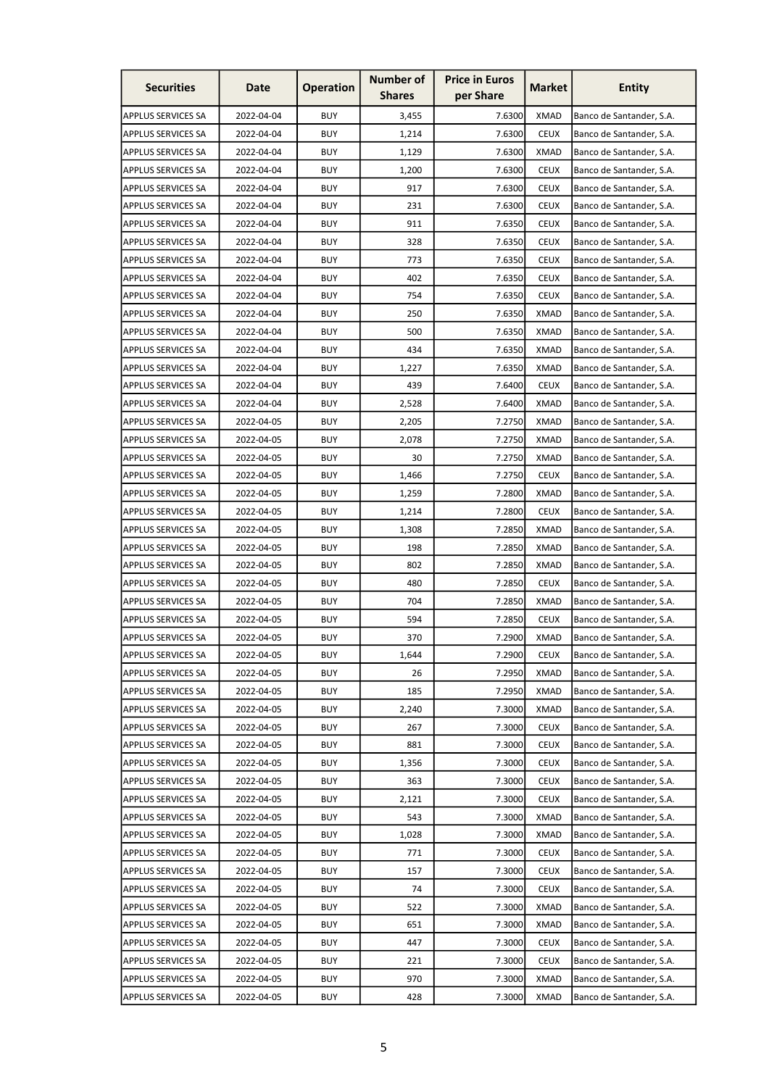| <b>Securities</b>         | Date       | <b>Operation</b> | <b>Number of</b><br><b>Shares</b> | <b>Price in Euros</b><br>per Share | <b>Market</b> | <b>Entity</b>            |
|---------------------------|------------|------------------|-----------------------------------|------------------------------------|---------------|--------------------------|
| <b>APPLUS SERVICES SA</b> | 2022-04-04 | <b>BUY</b>       | 3,455                             | 7.6300                             | <b>XMAD</b>   | Banco de Santander, S.A. |
| <b>APPLUS SERVICES SA</b> | 2022-04-04 | <b>BUY</b>       | 1,214                             | 7.6300                             | <b>CEUX</b>   | Banco de Santander, S.A. |
| <b>APPLUS SERVICES SA</b> | 2022-04-04 | <b>BUY</b>       | 1,129                             | 7.6300                             | <b>XMAD</b>   | Banco de Santander, S.A. |
| <b>APPLUS SERVICES SA</b> | 2022-04-04 | <b>BUY</b>       | 1,200                             | 7.6300                             | <b>CEUX</b>   | Banco de Santander, S.A. |
| <b>APPLUS SERVICES SA</b> | 2022-04-04 | <b>BUY</b>       | 917                               | 7.6300                             | <b>CEUX</b>   | Banco de Santander, S.A. |
| <b>APPLUS SERVICES SA</b> | 2022-04-04 | <b>BUY</b>       | 231                               | 7.6300                             | <b>CEUX</b>   | Banco de Santander, S.A. |
| <b>APPLUS SERVICES SA</b> | 2022-04-04 | <b>BUY</b>       | 911                               | 7.6350                             | <b>CEUX</b>   | Banco de Santander, S.A. |
| <b>APPLUS SERVICES SA</b> | 2022-04-04 | <b>BUY</b>       | 328                               | 7.6350                             | <b>CEUX</b>   | Banco de Santander, S.A. |
| <b>APPLUS SERVICES SA</b> | 2022-04-04 | <b>BUY</b>       | 773                               | 7.6350                             | <b>CEUX</b>   | Banco de Santander, S.A. |
| <b>APPLUS SERVICES SA</b> | 2022-04-04 | <b>BUY</b>       | 402                               | 7.6350                             | <b>CEUX</b>   | Banco de Santander, S.A. |
| <b>APPLUS SERVICES SA</b> | 2022-04-04 | <b>BUY</b>       | 754                               | 7.6350                             | <b>CEUX</b>   | Banco de Santander, S.A. |
| <b>APPLUS SERVICES SA</b> | 2022-04-04 | <b>BUY</b>       | 250                               | 7.6350                             | <b>XMAD</b>   | Banco de Santander, S.A. |
| <b>APPLUS SERVICES SA</b> | 2022-04-04 | <b>BUY</b>       | 500                               | 7.6350                             | <b>XMAD</b>   | Banco de Santander, S.A. |
| <b>APPLUS SERVICES SA</b> | 2022-04-04 | <b>BUY</b>       | 434                               | 7.6350                             | <b>XMAD</b>   | Banco de Santander, S.A. |
| <b>APPLUS SERVICES SA</b> | 2022-04-04 | <b>BUY</b>       | 1,227                             | 7.6350                             | <b>XMAD</b>   | Banco de Santander, S.A. |
| <b>APPLUS SERVICES SA</b> | 2022-04-04 | <b>BUY</b>       | 439                               | 7.6400                             | <b>CEUX</b>   | Banco de Santander, S.A. |
| <b>APPLUS SERVICES SA</b> | 2022-04-04 | <b>BUY</b>       | 2,528                             | 7.6400                             | <b>XMAD</b>   | Banco de Santander, S.A. |
| <b>APPLUS SERVICES SA</b> | 2022-04-05 | <b>BUY</b>       | 2,205                             | 7.2750                             | <b>XMAD</b>   | Banco de Santander, S.A. |
| <b>APPLUS SERVICES SA</b> | 2022-04-05 | <b>BUY</b>       | 2,078                             | 7.2750                             | <b>XMAD</b>   | Banco de Santander, S.A. |
| <b>APPLUS SERVICES SA</b> | 2022-04-05 | <b>BUY</b>       | 30                                | 7.2750                             | <b>XMAD</b>   | Banco de Santander, S.A. |
| <b>APPLUS SERVICES SA</b> | 2022-04-05 | <b>BUY</b>       | 1,466                             | 7.2750                             | <b>CEUX</b>   | Banco de Santander, S.A. |
| <b>APPLUS SERVICES SA</b> | 2022-04-05 | <b>BUY</b>       | 1,259                             | 7.2800                             | <b>XMAD</b>   | Banco de Santander, S.A. |
| <b>APPLUS SERVICES SA</b> | 2022-04-05 | <b>BUY</b>       | 1,214                             | 7.2800                             | <b>CEUX</b>   | Banco de Santander, S.A. |
| <b>APPLUS SERVICES SA</b> | 2022-04-05 | <b>BUY</b>       | 1,308                             | 7.2850                             | <b>XMAD</b>   | Banco de Santander, S.A. |
| <b>APPLUS SERVICES SA</b> | 2022-04-05 | <b>BUY</b>       | 198                               | 7.2850                             | <b>XMAD</b>   | Banco de Santander, S.A. |
| <b>APPLUS SERVICES SA</b> | 2022-04-05 | <b>BUY</b>       | 802                               | 7.2850                             | XMAD          | Banco de Santander, S.A. |
| <b>APPLUS SERVICES SA</b> | 2022-04-05 | <b>BUY</b>       | 480                               | 7.2850                             | <b>CEUX</b>   | Banco de Santander, S.A. |
| <b>APPLUS SERVICES SA</b> | 2022-04-05 | <b>BUY</b>       | 704                               | 7.2850                             | <b>XMAD</b>   | Banco de Santander, S.A. |
| <b>APPLUS SERVICES SA</b> | 2022-04-05 | <b>BUY</b>       | 594                               | 7.2850                             | <b>CEUX</b>   | Banco de Santander, S.A. |
| <b>APPLUS SERVICES SA</b> | 2022-04-05 | <b>BUY</b>       | 370                               | 7.2900                             | <b>XMAD</b>   | Banco de Santander, S.A. |
| <b>APPLUS SERVICES SA</b> | 2022-04-05 | <b>BUY</b>       | 1,644                             | 7.2900                             | <b>CEUX</b>   | Banco de Santander, S.A. |
| <b>APPLUS SERVICES SA</b> | 2022-04-05 | <b>BUY</b>       | 26                                | 7.2950                             | XMAD          | Banco de Santander, S.A. |
| <b>APPLUS SERVICES SA</b> | 2022-04-05 | <b>BUY</b>       | 185                               | 7.2950                             | <b>XMAD</b>   | Banco de Santander, S.A. |
| <b>APPLUS SERVICES SA</b> | 2022-04-05 | <b>BUY</b>       | 2,240                             | 7.3000                             | <b>XMAD</b>   | Banco de Santander, S.A. |
| <b>APPLUS SERVICES SA</b> | 2022-04-05 | <b>BUY</b>       | 267                               | 7.3000                             | <b>CEUX</b>   | Banco de Santander, S.A. |
| <b>APPLUS SERVICES SA</b> | 2022-04-05 | <b>BUY</b>       | 881                               | 7.3000                             | <b>CEUX</b>   | Banco de Santander, S.A. |
| <b>APPLUS SERVICES SA</b> | 2022-04-05 | <b>BUY</b>       | 1,356                             | 7.3000                             | <b>CEUX</b>   | Banco de Santander, S.A. |
| <b>APPLUS SERVICES SA</b> | 2022-04-05 | <b>BUY</b>       | 363                               | 7.3000                             | <b>CEUX</b>   | Banco de Santander, S.A. |
| <b>APPLUS SERVICES SA</b> | 2022-04-05 | <b>BUY</b>       | 2,121                             | 7.3000                             | <b>CEUX</b>   | Banco de Santander, S.A. |
| <b>APPLUS SERVICES SA</b> | 2022-04-05 | <b>BUY</b>       | 543                               | 7.3000                             | <b>XMAD</b>   | Banco de Santander, S.A. |
| <b>APPLUS SERVICES SA</b> | 2022-04-05 | <b>BUY</b>       | 1,028                             | 7.3000                             | <b>XMAD</b>   | Banco de Santander, S.A. |
| <b>APPLUS SERVICES SA</b> | 2022-04-05 | <b>BUY</b>       | 771                               | 7.3000                             | <b>CEUX</b>   | Banco de Santander, S.A. |
| <b>APPLUS SERVICES SA</b> | 2022-04-05 | <b>BUY</b>       | 157                               | 7.3000                             | <b>CEUX</b>   | Banco de Santander, S.A. |
| <b>APPLUS SERVICES SA</b> | 2022-04-05 | <b>BUY</b>       | 74                                | 7.3000                             | <b>CEUX</b>   | Banco de Santander, S.A. |
| <b>APPLUS SERVICES SA</b> | 2022-04-05 | <b>BUY</b>       | 522                               | 7.3000                             | <b>XMAD</b>   | Banco de Santander, S.A. |
| <b>APPLUS SERVICES SA</b> | 2022-04-05 | <b>BUY</b>       | 651                               | 7.3000                             | <b>XMAD</b>   | Banco de Santander, S.A. |
| <b>APPLUS SERVICES SA</b> | 2022-04-05 | <b>BUY</b>       | 447                               | 7.3000                             | <b>CEUX</b>   | Banco de Santander, S.A. |
| <b>APPLUS SERVICES SA</b> | 2022-04-05 | <b>BUY</b>       | 221                               | 7.3000                             | <b>CEUX</b>   | Banco de Santander, S.A. |
| <b>APPLUS SERVICES SA</b> | 2022-04-05 | <b>BUY</b>       | 970                               | 7.3000                             | <b>XMAD</b>   | Banco de Santander, S.A. |
| <b>APPLUS SERVICES SA</b> | 2022-04-05 | <b>BUY</b>       | 428                               | 7.3000                             | <b>XMAD</b>   | Banco de Santander, S.A. |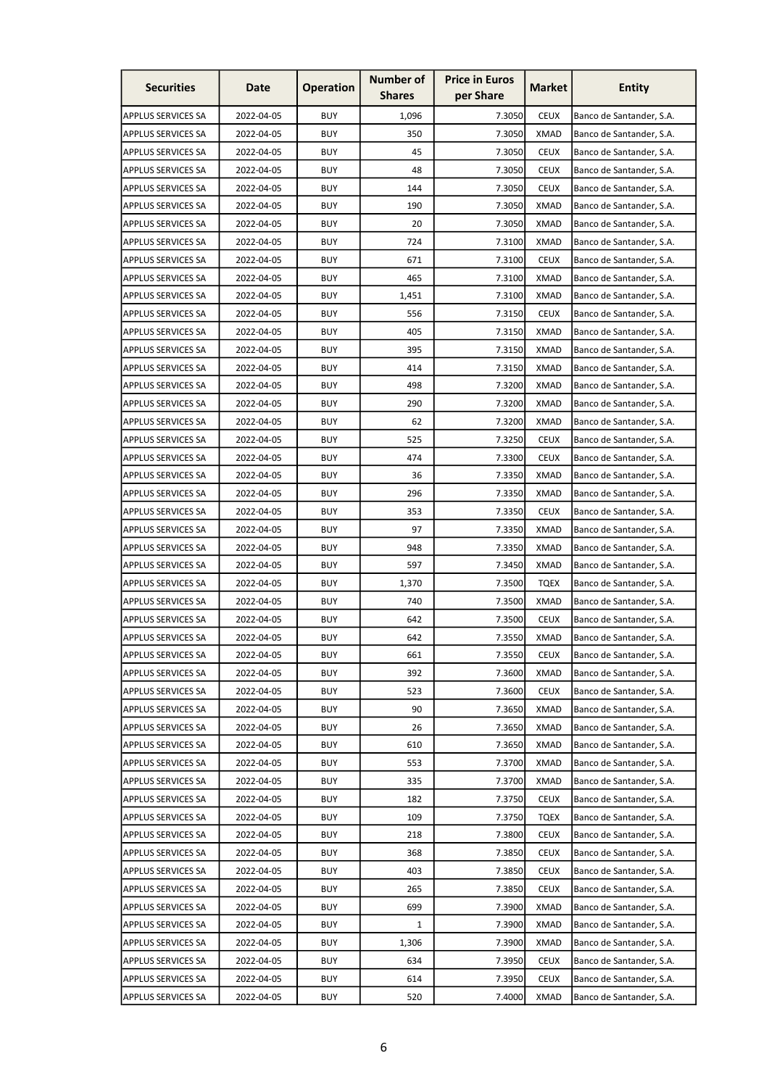| <b>Securities</b>         | Date       | <b>Operation</b> | <b>Number of</b><br><b>Shares</b> | <b>Price in Euros</b><br>per Share | <b>Market</b> | <b>Entity</b>            |
|---------------------------|------------|------------------|-----------------------------------|------------------------------------|---------------|--------------------------|
| <b>APPLUS SERVICES SA</b> | 2022-04-05 | <b>BUY</b>       | 1,096                             | 7.3050                             | <b>CEUX</b>   | Banco de Santander, S.A. |
| <b>APPLUS SERVICES SA</b> | 2022-04-05 | <b>BUY</b>       | 350                               | 7.3050                             | <b>XMAD</b>   | Banco de Santander, S.A. |
| <b>APPLUS SERVICES SA</b> | 2022-04-05 | <b>BUY</b>       | 45                                | 7.3050                             | <b>CEUX</b>   | Banco de Santander, S.A. |
| <b>APPLUS SERVICES SA</b> | 2022-04-05 | <b>BUY</b>       | 48                                | 7.3050                             | <b>CEUX</b>   | Banco de Santander, S.A. |
| <b>APPLUS SERVICES SA</b> | 2022-04-05 | <b>BUY</b>       | 144                               | 7.3050                             | <b>CEUX</b>   | Banco de Santander, S.A. |
| <b>APPLUS SERVICES SA</b> | 2022-04-05 | <b>BUY</b>       | 190                               | 7.3050                             | <b>XMAD</b>   | Banco de Santander, S.A. |
| <b>APPLUS SERVICES SA</b> | 2022-04-05 | <b>BUY</b>       | 20                                | 7.3050                             | XMAD          | Banco de Santander, S.A. |
| <b>APPLUS SERVICES SA</b> | 2022-04-05 | <b>BUY</b>       | 724                               | 7.3100                             | <b>XMAD</b>   | Banco de Santander, S.A. |
| <b>APPLUS SERVICES SA</b> | 2022-04-05 | <b>BUY</b>       | 671                               | 7.3100                             | <b>CEUX</b>   | Banco de Santander, S.A. |
| <b>APPLUS SERVICES SA</b> | 2022-04-05 | <b>BUY</b>       | 465                               | 7.3100                             | <b>XMAD</b>   | Banco de Santander, S.A. |
| <b>APPLUS SERVICES SA</b> | 2022-04-05 | <b>BUY</b>       | 1,451                             | 7.3100                             | <b>XMAD</b>   | Banco de Santander, S.A. |
| <b>APPLUS SERVICES SA</b> | 2022-04-05 | <b>BUY</b>       | 556                               | 7.3150                             | <b>CEUX</b>   | Banco de Santander, S.A. |
| <b>APPLUS SERVICES SA</b> | 2022-04-05 | <b>BUY</b>       | 405                               | 7.3150                             | XMAD          | Banco de Santander, S.A. |
| <b>APPLUS SERVICES SA</b> | 2022-04-05 | <b>BUY</b>       | 395                               | 7.3150                             | <b>XMAD</b>   | Banco de Santander, S.A. |
| <b>APPLUS SERVICES SA</b> | 2022-04-05 | <b>BUY</b>       | 414                               | 7.3150                             | <b>XMAD</b>   | Banco de Santander, S.A. |
| <b>APPLUS SERVICES SA</b> | 2022-04-05 | <b>BUY</b>       | 498                               | 7.3200                             | <b>XMAD</b>   | Banco de Santander, S.A. |
| <b>APPLUS SERVICES SA</b> | 2022-04-05 | <b>BUY</b>       | 290                               | 7.3200                             | <b>XMAD</b>   | Banco de Santander, S.A. |
| <b>APPLUS SERVICES SA</b> | 2022-04-05 | <b>BUY</b>       | 62                                | 7.3200                             | <b>XMAD</b>   | Banco de Santander, S.A. |
| <b>APPLUS SERVICES SA</b> | 2022-04-05 | <b>BUY</b>       | 525                               | 7.3250                             | <b>CEUX</b>   | Banco de Santander, S.A. |
| <b>APPLUS SERVICES SA</b> | 2022-04-05 | <b>BUY</b>       | 474                               | 7.3300                             | <b>CEUX</b>   | Banco de Santander, S.A. |
| <b>APPLUS SERVICES SA</b> | 2022-04-05 | <b>BUY</b>       | 36                                | 7.3350                             | <b>XMAD</b>   | Banco de Santander, S.A. |
| <b>APPLUS SERVICES SA</b> | 2022-04-05 | <b>BUY</b>       | 296                               | 7.3350                             | <b>XMAD</b>   | Banco de Santander, S.A. |
| <b>APPLUS SERVICES SA</b> | 2022-04-05 | <b>BUY</b>       | 353                               | 7.3350                             | <b>CEUX</b>   | Banco de Santander, S.A. |
| <b>APPLUS SERVICES SA</b> | 2022-04-05 | <b>BUY</b>       | 97                                | 7.3350                             | <b>XMAD</b>   | Banco de Santander, S.A. |
| <b>APPLUS SERVICES SA</b> | 2022-04-05 | <b>BUY</b>       | 948                               | 7.3350                             | <b>XMAD</b>   | Banco de Santander, S.A. |
| <b>APPLUS SERVICES SA</b> | 2022-04-05 | <b>BUY</b>       | 597                               | 7.3450                             | XMAD          | Banco de Santander, S.A. |
| <b>APPLUS SERVICES SA</b> | 2022-04-05 | <b>BUY</b>       | 1,370                             | 7.3500                             | <b>TQEX</b>   | Banco de Santander, S.A. |
| <b>APPLUS SERVICES SA</b> | 2022-04-05 | <b>BUY</b>       | 740                               | 7.3500                             | <b>XMAD</b>   | Banco de Santander, S.A. |
| <b>APPLUS SERVICES SA</b> | 2022-04-05 | <b>BUY</b>       | 642                               | 7.3500                             | <b>CEUX</b>   | Banco de Santander, S.A. |
| <b>APPLUS SERVICES SA</b> | 2022-04-05 | <b>BUY</b>       | 642                               | 7.3550                             | <b>XMAD</b>   | Banco de Santander, S.A. |
| <b>APPLUS SERVICES SA</b> | 2022-04-05 | <b>BUY</b>       | 661                               | 7.3550                             | <b>CEUX</b>   | Banco de Santander, S.A. |
| <b>APPLUS SERVICES SA</b> | 2022-04-05 | <b>BUY</b>       | 392                               | 7.3600                             | <b>XMAD</b>   | Banco de Santander, S.A. |
| <b>APPLUS SERVICES SA</b> | 2022-04-05 | <b>BUY</b>       | 523                               | 7.3600                             | <b>CEUX</b>   | Banco de Santander, S.A. |
| <b>APPLUS SERVICES SA</b> | 2022-04-05 | <b>BUY</b>       | 90                                | 7.3650                             | <b>XMAD</b>   | Banco de Santander, S.A. |
| <b>APPLUS SERVICES SA</b> | 2022-04-05 | <b>BUY</b>       | 26                                | 7.3650                             | <b>XMAD</b>   | Banco de Santander, S.A. |
| <b>APPLUS SERVICES SA</b> | 2022-04-05 | <b>BUY</b>       | 610                               | 7.3650                             | <b>XMAD</b>   | Banco de Santander, S.A. |
| <b>APPLUS SERVICES SA</b> | 2022-04-05 | <b>BUY</b>       | 553                               | 7.3700                             | <b>XMAD</b>   | Banco de Santander, S.A. |
| <b>APPLUS SERVICES SA</b> | 2022-04-05 | <b>BUY</b>       | 335                               | 7.3700                             | <b>XMAD</b>   | Banco de Santander, S.A. |
| <b>APPLUS SERVICES SA</b> | 2022-04-05 | <b>BUY</b>       | 182                               | 7.3750                             | <b>CEUX</b>   | Banco de Santander, S.A. |
| <b>APPLUS SERVICES SA</b> | 2022-04-05 | <b>BUY</b>       | 109                               | 7.3750                             | <b>TQEX</b>   | Banco de Santander, S.A. |
| <b>APPLUS SERVICES SA</b> | 2022-04-05 | <b>BUY</b>       | 218                               | 7.3800                             | <b>CEUX</b>   | Banco de Santander, S.A. |
| <b>APPLUS SERVICES SA</b> | 2022-04-05 | <b>BUY</b>       | 368                               | 7.3850                             | <b>CEUX</b>   | Banco de Santander, S.A. |
| <b>APPLUS SERVICES SA</b> | 2022-04-05 | <b>BUY</b>       | 403                               | 7.3850                             | <b>CEUX</b>   | Banco de Santander, S.A. |
| <b>APPLUS SERVICES SA</b> | 2022-04-05 | <b>BUY</b>       | 265                               | 7.3850                             | <b>CEUX</b>   | Banco de Santander, S.A. |
| <b>APPLUS SERVICES SA</b> | 2022-04-05 | <b>BUY</b>       | 699                               | 7.3900                             | <b>XMAD</b>   | Banco de Santander, S.A. |
| <b>APPLUS SERVICES SA</b> | 2022-04-05 | <b>BUY</b>       | $\mathbf{1}$                      | 7.3900                             | <b>XMAD</b>   | Banco de Santander, S.A. |
| <b>APPLUS SERVICES SA</b> | 2022-04-05 | <b>BUY</b>       | 1,306                             | 7.3900                             | <b>XMAD</b>   | Banco de Santander, S.A. |
| <b>APPLUS SERVICES SA</b> | 2022-04-05 | <b>BUY</b>       | 634                               | 7.3950                             | <b>CEUX</b>   | Banco de Santander, S.A. |
| <b>APPLUS SERVICES SA</b> | 2022-04-05 | <b>BUY</b>       | 614                               | 7.3950                             | <b>CEUX</b>   | Banco de Santander, S.A. |
| <b>APPLUS SERVICES SA</b> | 2022-04-05 | <b>BUY</b>       | 520                               | 7.4000                             | <b>XMAD</b>   | Banco de Santander, S.A. |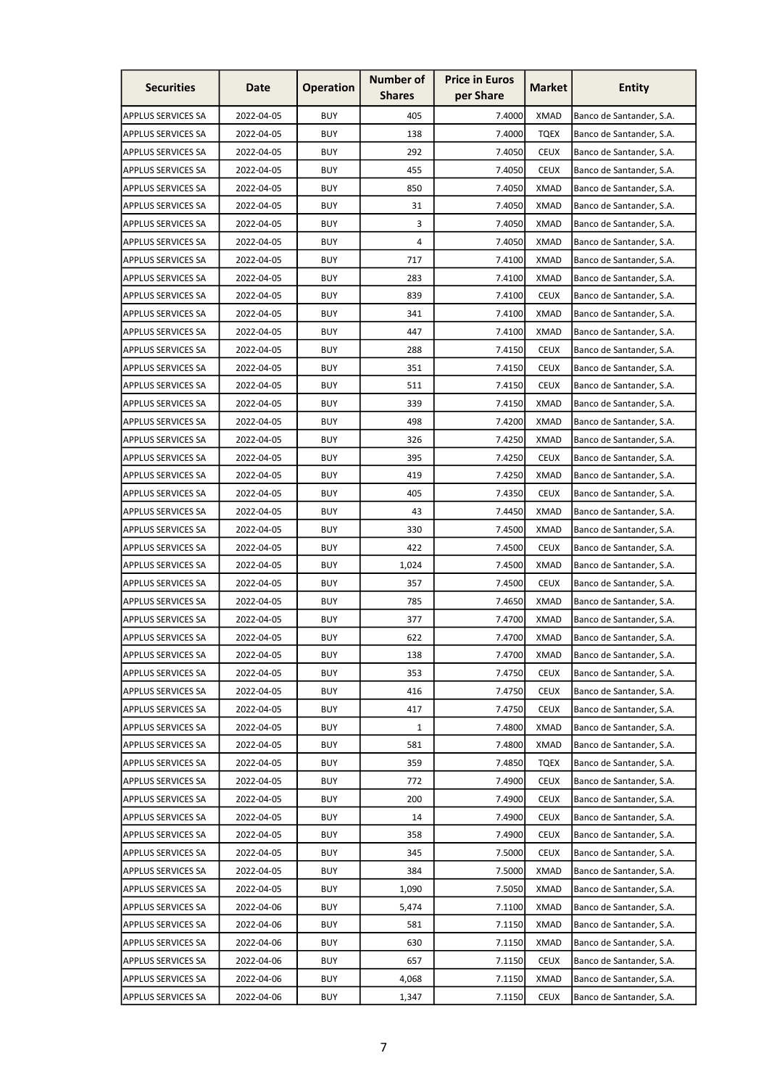| <b>Securities</b>         | Date       | <b>Operation</b> | <b>Number of</b><br><b>Shares</b> | <b>Price in Euros</b><br>per Share | <b>Market</b> | <b>Entity</b>            |
|---------------------------|------------|------------------|-----------------------------------|------------------------------------|---------------|--------------------------|
| <b>APPLUS SERVICES SA</b> | 2022-04-05 | <b>BUY</b>       | 405                               | 7.4000                             | <b>XMAD</b>   | Banco de Santander, S.A. |
| <b>APPLUS SERVICES SA</b> | 2022-04-05 | <b>BUY</b>       | 138                               | 7.4000                             | <b>TOEX</b>   | Banco de Santander, S.A. |
| <b>APPLUS SERVICES SA</b> | 2022-04-05 | <b>BUY</b>       | 292                               | 7.4050                             | <b>CEUX</b>   | Banco de Santander, S.A. |
| <b>APPLUS SERVICES SA</b> | 2022-04-05 | <b>BUY</b>       | 455                               | 7.4050                             | <b>CEUX</b>   | Banco de Santander, S.A. |
| <b>APPLUS SERVICES SA</b> | 2022-04-05 | <b>BUY</b>       | 850                               | 7.4050                             | <b>XMAD</b>   | Banco de Santander, S.A. |
| <b>APPLUS SERVICES SA</b> | 2022-04-05 | <b>BUY</b>       | 31                                | 7.4050                             | <b>XMAD</b>   | Banco de Santander, S.A. |
| <b>APPLUS SERVICES SA</b> | 2022-04-05 | <b>BUY</b>       | 3                                 | 7.4050                             | XMAD          | Banco de Santander, S.A. |
| <b>APPLUS SERVICES SA</b> | 2022-04-05 | <b>BUY</b>       | 4                                 | 7.4050                             | <b>XMAD</b>   | Banco de Santander, S.A. |
| <b>APPLUS SERVICES SA</b> | 2022-04-05 | <b>BUY</b>       | 717                               | 7.4100                             | <b>XMAD</b>   | Banco de Santander, S.A. |
| <b>APPLUS SERVICES SA</b> | 2022-04-05 | <b>BUY</b>       | 283                               | 7.4100                             | <b>XMAD</b>   | Banco de Santander, S.A. |
| <b>APPLUS SERVICES SA</b> | 2022-04-05 | <b>BUY</b>       | 839                               | 7.4100                             | <b>CEUX</b>   | Banco de Santander, S.A. |
| <b>APPLUS SERVICES SA</b> | 2022-04-05 | <b>BUY</b>       | 341                               | 7.4100                             | <b>XMAD</b>   | Banco de Santander, S.A. |
| <b>APPLUS SERVICES SA</b> | 2022-04-05 | <b>BUY</b>       | 447                               | 7.4100                             | <b>XMAD</b>   | Banco de Santander, S.A. |
| <b>APPLUS SERVICES SA</b> | 2022-04-05 | <b>BUY</b>       | 288                               | 7.4150                             | <b>CEUX</b>   | Banco de Santander, S.A. |
| <b>APPLUS SERVICES SA</b> | 2022-04-05 | <b>BUY</b>       | 351                               | 7.4150                             | <b>CEUX</b>   | Banco de Santander, S.A. |
| <b>APPLUS SERVICES SA</b> | 2022-04-05 | <b>BUY</b>       | 511                               | 7.4150                             | <b>CEUX</b>   | Banco de Santander, S.A. |
| <b>APPLUS SERVICES SA</b> | 2022-04-05 | <b>BUY</b>       | 339                               | 7.4150                             | <b>XMAD</b>   | Banco de Santander, S.A. |
| <b>APPLUS SERVICES SA</b> | 2022-04-05 | <b>BUY</b>       | 498                               | 7.4200                             | <b>XMAD</b>   | Banco de Santander, S.A. |
| <b>APPLUS SERVICES SA</b> | 2022-04-05 | <b>BUY</b>       | 326                               | 7.4250                             | <b>XMAD</b>   | Banco de Santander, S.A. |
| <b>APPLUS SERVICES SA</b> | 2022-04-05 | <b>BUY</b>       | 395                               | 7.4250                             | <b>CEUX</b>   | Banco de Santander, S.A. |
| <b>APPLUS SERVICES SA</b> | 2022-04-05 | <b>BUY</b>       | 419                               | 7.4250                             | <b>XMAD</b>   | Banco de Santander, S.A. |
| <b>APPLUS SERVICES SA</b> | 2022-04-05 | <b>BUY</b>       | 405                               | 7.4350                             | <b>CEUX</b>   | Banco de Santander, S.A. |
| <b>APPLUS SERVICES SA</b> | 2022-04-05 | <b>BUY</b>       | 43                                | 7.4450                             | <b>XMAD</b>   | Banco de Santander, S.A. |
| <b>APPLUS SERVICES SA</b> | 2022-04-05 | <b>BUY</b>       | 330                               | 7.4500                             | <b>XMAD</b>   | Banco de Santander, S.A. |
| <b>APPLUS SERVICES SA</b> | 2022-04-05 | <b>BUY</b>       | 422                               | 7.4500                             | <b>CEUX</b>   | Banco de Santander, S.A. |
| <b>APPLUS SERVICES SA</b> | 2022-04-05 | <b>BUY</b>       | 1,024                             | 7.4500                             | XMAD          | Banco de Santander, S.A. |
| <b>APPLUS SERVICES SA</b> | 2022-04-05 | <b>BUY</b>       | 357                               | 7.4500                             | <b>CEUX</b>   | Banco de Santander, S.A. |
| <b>APPLUS SERVICES SA</b> | 2022-04-05 | <b>BUY</b>       | 785                               | 7.4650                             | <b>XMAD</b>   | Banco de Santander, S.A. |
| <b>APPLUS SERVICES SA</b> | 2022-04-05 | <b>BUY</b>       | 377                               | 7.4700                             | <b>XMAD</b>   | Banco de Santander, S.A. |
| <b>APPLUS SERVICES SA</b> | 2022-04-05 | <b>BUY</b>       | 622                               | 7.4700                             | <b>XMAD</b>   | Banco de Santander, S.A. |
| <b>APPLUS SERVICES SA</b> | 2022-04-05 | <b>BUY</b>       | 138                               | 7.4700                             | <b>XMAD</b>   | Banco de Santander, S.A. |
| <b>APPLUS SERVICES SA</b> | 2022-04-05 | <b>BUY</b>       | 353                               | 7.4750                             | <b>CEUX</b>   | Banco de Santander, S.A. |
| <b>APPLUS SERVICES SA</b> | 2022-04-05 | <b>BUY</b>       | 416                               | 7.4750                             | <b>CEUX</b>   | Banco de Santander, S.A. |
| <b>APPLUS SERVICES SA</b> | 2022-04-05 | <b>BUY</b>       | 417                               | 7.4750                             | <b>CEUX</b>   | Banco de Santander, S.A. |
| <b>APPLUS SERVICES SA</b> | 2022-04-05 | <b>BUY</b>       | 1                                 | 7.4800                             | <b>XMAD</b>   | Banco de Santander, S.A. |
| <b>APPLUS SERVICES SA</b> | 2022-04-05 | <b>BUY</b>       | 581                               | 7.4800                             | <b>XMAD</b>   | Banco de Santander, S.A. |
| <b>APPLUS SERVICES SA</b> | 2022-04-05 | <b>BUY</b>       | 359                               | 7.4850                             | <b>TQEX</b>   | Banco de Santander, S.A. |
| <b>APPLUS SERVICES SA</b> | 2022-04-05 | <b>BUY</b>       | 772                               | 7.4900                             | <b>CEUX</b>   | Banco de Santander, S.A. |
| <b>APPLUS SERVICES SA</b> | 2022-04-05 | <b>BUY</b>       | 200                               | 7.4900                             | <b>CEUX</b>   | Banco de Santander, S.A. |
| <b>APPLUS SERVICES SA</b> | 2022-04-05 | <b>BUY</b>       | 14                                | 7.4900                             | <b>CEUX</b>   | Banco de Santander, S.A. |
| <b>APPLUS SERVICES SA</b> | 2022-04-05 | <b>BUY</b>       | 358                               | 7.4900                             | <b>CEUX</b>   | Banco de Santander, S.A. |
| <b>APPLUS SERVICES SA</b> | 2022-04-05 | <b>BUY</b>       | 345                               | 7.5000                             | <b>CEUX</b>   | Banco de Santander, S.A. |
| <b>APPLUS SERVICES SA</b> | 2022-04-05 | <b>BUY</b>       | 384                               | 7.5000                             | <b>XMAD</b>   | Banco de Santander, S.A. |
| <b>APPLUS SERVICES SA</b> | 2022-04-05 | <b>BUY</b>       | 1,090                             | 7.5050                             | <b>XMAD</b>   | Banco de Santander, S.A. |
| <b>APPLUS SERVICES SA</b> | 2022-04-06 | <b>BUY</b>       | 5,474                             | 7.1100                             | <b>XMAD</b>   | Banco de Santander, S.A. |
| <b>APPLUS SERVICES SA</b> | 2022-04-06 | <b>BUY</b>       | 581                               | 7.1150                             | <b>XMAD</b>   | Banco de Santander, S.A. |
| <b>APPLUS SERVICES SA</b> | 2022-04-06 | <b>BUY</b>       | 630                               | 7.1150                             | <b>XMAD</b>   | Banco de Santander, S.A. |
| <b>APPLUS SERVICES SA</b> | 2022-04-06 | <b>BUY</b>       | 657                               | 7.1150                             | <b>CEUX</b>   | Banco de Santander, S.A. |
| <b>APPLUS SERVICES SA</b> | 2022-04-06 | <b>BUY</b>       | 4,068                             | 7.1150                             | <b>XMAD</b>   | Banco de Santander, S.A. |
| <b>APPLUS SERVICES SA</b> | 2022-04-06 | <b>BUY</b>       | 1,347                             | 7.1150                             | <b>CEUX</b>   | Banco de Santander, S.A. |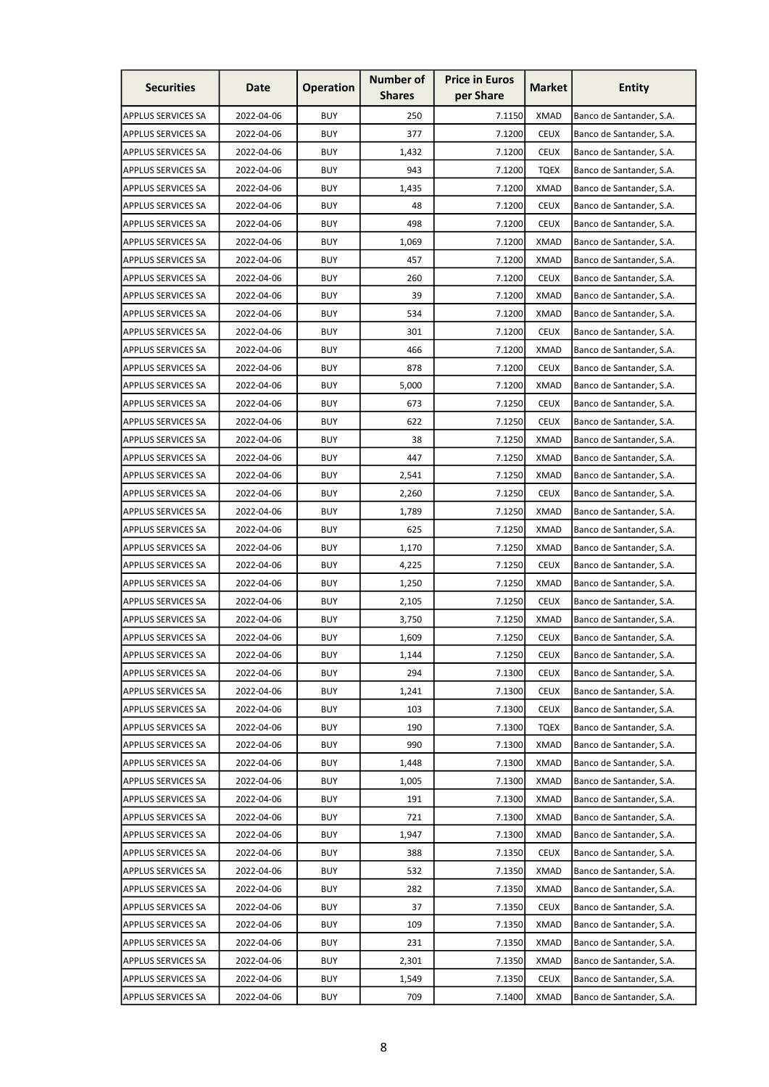| <b>Number of</b><br><b>Price in Euros</b><br><b>Securities</b><br><b>Operation</b><br><b>Market</b><br>Date<br>per Share<br><b>Shares</b> | <b>Entity</b>            |
|-------------------------------------------------------------------------------------------------------------------------------------------|--------------------------|
| <b>BUY</b><br>250<br>7.1150<br><b>XMAD</b><br><b>APPLUS SERVICES SA</b><br>2022-04-06                                                     | Banco de Santander, S.A. |
| <b>APPLUS SERVICES SA</b><br>2022-04-06<br><b>BUY</b><br>377<br>7.1200<br><b>CEUX</b>                                                     | Banco de Santander, S.A. |
| <b>BUY</b><br>7.1200<br><b>CEUX</b><br><b>APPLUS SERVICES SA</b><br>2022-04-06<br>1,432                                                   | Banco de Santander, S.A. |
| <b>BUY</b><br><b>APPLUS SERVICES SA</b><br>2022-04-06<br>943<br>7.1200<br>TQEX                                                            | Banco de Santander, S.A. |
| <b>BUY</b><br><b>XMAD</b><br><b>APPLUS SERVICES SA</b><br>2022-04-06<br>1,435<br>7.1200                                                   | Banco de Santander, S.A. |
| <b>BUY</b><br>48<br>7.1200<br><b>CEUX</b><br><b>APPLUS SERVICES SA</b><br>2022-04-06                                                      | Banco de Santander, S.A. |
| <b>BUY</b><br>498<br><b>CEUX</b><br><b>APPLUS SERVICES SA</b><br>2022-04-06<br>7.1200                                                     | Banco de Santander, S.A. |
| <b>BUY</b><br>7.1200<br><b>XMAD</b><br><b>APPLUS SERVICES SA</b><br>2022-04-06<br>1,069                                                   | Banco de Santander, S.A. |
| 2022-04-06<br><b>BUY</b><br>457<br>7.1200<br><b>XMAD</b><br><b>APPLUS SERVICES SA</b>                                                     | Banco de Santander, S.A. |
| 2022-04-06<br><b>BUY</b><br>7.1200<br><b>CEUX</b><br><b>APPLUS SERVICES SA</b><br>260                                                     | Banco de Santander, S.A. |
| <b>BUY</b><br>39<br><b>XMAD</b><br><b>APPLUS SERVICES SA</b><br>2022-04-06<br>7.1200                                                      | Banco de Santander, S.A. |
| <b>BUY</b><br>7.1200<br><b>APPLUS SERVICES SA</b><br>2022-04-06<br>534<br>XMAD                                                            | Banco de Santander, S.A. |
| 2022-04-06<br><b>BUY</b><br>301<br>7.1200<br><b>CEUX</b><br><b>APPLUS SERVICES SA</b>                                                     | Banco de Santander, S.A. |
| <b>BUY</b><br><b>APPLUS SERVICES SA</b><br>2022-04-06<br>466<br>7.1200<br>XMAD                                                            | Banco de Santander, S.A. |
| <b>BUY</b><br>878<br>7.1200<br><b>CEUX</b><br><b>APPLUS SERVICES SA</b><br>2022-04-06                                                     | Banco de Santander, S.A. |
| 2022-04-06<br><b>BUY</b><br>5,000<br>7.1200<br><b>XMAD</b><br><b>APPLUS SERVICES SA</b>                                                   | Banco de Santander, S.A. |
| <b>BUY</b><br>7.1250<br><b>CEUX</b><br><b>APPLUS SERVICES SA</b><br>2022-04-06<br>673                                                     | Banco de Santander, S.A. |
| <b>BUY</b><br><b>CEUX</b><br><b>APPLUS SERVICES SA</b><br>2022-04-06<br>622<br>7.1250                                                     | Banco de Santander, S.A. |
| <b>BUY</b><br><b>XMAD</b><br><b>APPLUS SERVICES SA</b><br>2022-04-06<br>38<br>7.1250                                                      | Banco de Santander, S.A. |
| <b>BUY</b><br><b>APPLUS SERVICES SA</b><br>2022-04-06<br>447<br>7.1250<br>XMAD                                                            | Banco de Santander, S.A. |
| <b>BUY</b><br><b>APPLUS SERVICES SA</b><br>2,541<br>7.1250<br><b>XMAD</b><br>2022-04-06                                                   | Banco de Santander, S.A. |
| <b>BUY</b><br><b>CEUX</b><br><b>APPLUS SERVICES SA</b><br>2022-04-06<br>2,260<br>7.1250                                                   | Banco de Santander, S.A. |
| <b>BUY</b><br>7.1250<br><b>XMAD</b><br><b>APPLUS SERVICES SA</b><br>2022-04-06<br>1,789                                                   | Banco de Santander, S.A. |
| <b>BUY</b><br><b>APPLUS SERVICES SA</b><br>2022-04-06<br>625<br>7.1250<br><b>XMAD</b>                                                     | Banco de Santander, S.A. |
| <b>BUY</b><br><b>XMAD</b><br><b>APPLUS SERVICES SA</b><br>2022-04-06<br>1,170<br>7.1250                                                   | Banco de Santander, S.A. |
| <b>BUY</b><br><b>APPLUS SERVICES SA</b><br>2022-04-06<br>4,225<br>7.1250<br><b>CEUX</b>                                                   | Banco de Santander, S.A. |
| <b>APPLUS SERVICES SA</b><br><b>BUY</b><br>1,250<br>7.1250<br><b>XMAD</b><br>2022-04-06                                                   | Banco de Santander, S.A. |
| <b>BUY</b><br>2022-04-06<br>7.1250<br><b>CEUX</b><br><b>APPLUS SERVICES SA</b><br>2,105                                                   | Banco de Santander, S.A. |
| <b>BUY</b><br>7.1250<br><b>XMAD</b><br>APPLUS SERVICES SA<br>2022-04-06<br>3,750                                                          | Banco de Santander, S.A. |
| <b>APPLUS SERVICES SA</b><br>2022-04-06<br><b>BUY</b><br>1,609<br>7.1250<br><b>CEUX</b>                                                   | Banco de Santander, S.A. |
| <b>BUY</b><br>7.1250<br><b>APPLUS SERVICES SA</b><br>2022-04-06<br>1,144<br><b>CEUX</b>                                                   | Banco de Santander, S.A. |
| <b>CEUX</b><br><b>APPLUS SERVICES SA</b><br>2022-04-06<br><b>BUY</b><br>294<br>7.1300                                                     | Banco de Santander, S.A. |
| 2022-04-06<br><b>BUY</b><br>1,241<br>7.1300<br><b>CEUX</b><br><b>APPLUS SERVICES SA</b>                                                   | Banco de Santander, S.A. |
| 2022-04-06<br><b>BUY</b><br>103<br>7.1300<br><b>CEUX</b><br><b>APPLUS SERVICES SA</b>                                                     | Banco de Santander, S.A. |
| <b>APPLUS SERVICES SA</b><br>2022-04-06<br><b>BUY</b><br>190<br>7.1300<br><b>TQEX</b>                                                     | Banco de Santander, S.A. |
| <b>APPLUS SERVICES SA</b><br>2022-04-06<br><b>BUY</b><br>990<br>7.1300<br><b>XMAD</b>                                                     | Banco de Santander, S.A. |
| <b>APPLUS SERVICES SA</b><br>2022-04-06<br><b>BUY</b><br>1,448<br>7.1300<br><b>XMAD</b>                                                   | Banco de Santander, S.A. |
| 2022-04-06<br><b>BUY</b><br><b>APPLUS SERVICES SA</b><br>1,005<br>7.1300<br><b>XMAD</b>                                                   | Banco de Santander, S.A. |
| APPLUS SERVICES SA<br><b>BUY</b><br>191<br><b>XMAD</b><br>2022-04-06<br>7.1300                                                            | Banco de Santander, S.A. |
| <b>APPLUS SERVICES SA</b><br>2022-04-06<br><b>BUY</b><br>721<br>7.1300<br><b>XMAD</b>                                                     | Banco de Santander, S.A. |
| <b>APPLUS SERVICES SA</b><br>2022-04-06<br><b>BUY</b><br>1,947<br>7.1300<br><b>XMAD</b>                                                   | Banco de Santander, S.A. |
| <b>APPLUS SERVICES SA</b><br>2022-04-06<br><b>BUY</b><br><b>CEUX</b><br>388<br>7.1350                                                     | Banco de Santander, S.A. |
| <b>BUY</b><br><b>APPLUS SERVICES SA</b><br>2022-04-06<br>532<br>7.1350<br><b>XMAD</b>                                                     | Banco de Santander, S.A. |
| <b>APPLUS SERVICES SA</b><br>2022-04-06<br><b>BUY</b><br>282<br>7.1350<br><b>XMAD</b>                                                     | Banco de Santander, S.A. |
| <b>APPLUS SERVICES SA</b><br>2022-04-06<br><b>BUY</b><br><b>CEUX</b><br>37<br>7.1350                                                      | Banco de Santander, S.A. |
| <b>APPLUS SERVICES SA</b><br>2022-04-06<br><b>BUY</b><br>109<br>7.1350<br><b>XMAD</b>                                                     | Banco de Santander, S.A. |
| 2022-04-06<br><b>BUY</b><br><b>XMAD</b><br><b>APPLUS SERVICES SA</b><br>231<br>7.1350                                                     | Banco de Santander, S.A. |
| APPLUS SERVICES SA<br><b>BUY</b><br>7.1350<br><b>XMAD</b><br>2022-04-06<br>2,301                                                          | Banco de Santander, S.A. |
| <b>BUY</b><br><b>APPLUS SERVICES SA</b><br>2022-04-06<br>1,549<br>7.1350<br><b>CEUX</b>                                                   | Banco de Santander, S.A. |
| 2022-04-06<br><b>BUY</b><br>709<br><b>XMAD</b><br><b>APPLUS SERVICES SA</b><br>7.1400                                                     | Banco de Santander, S.A. |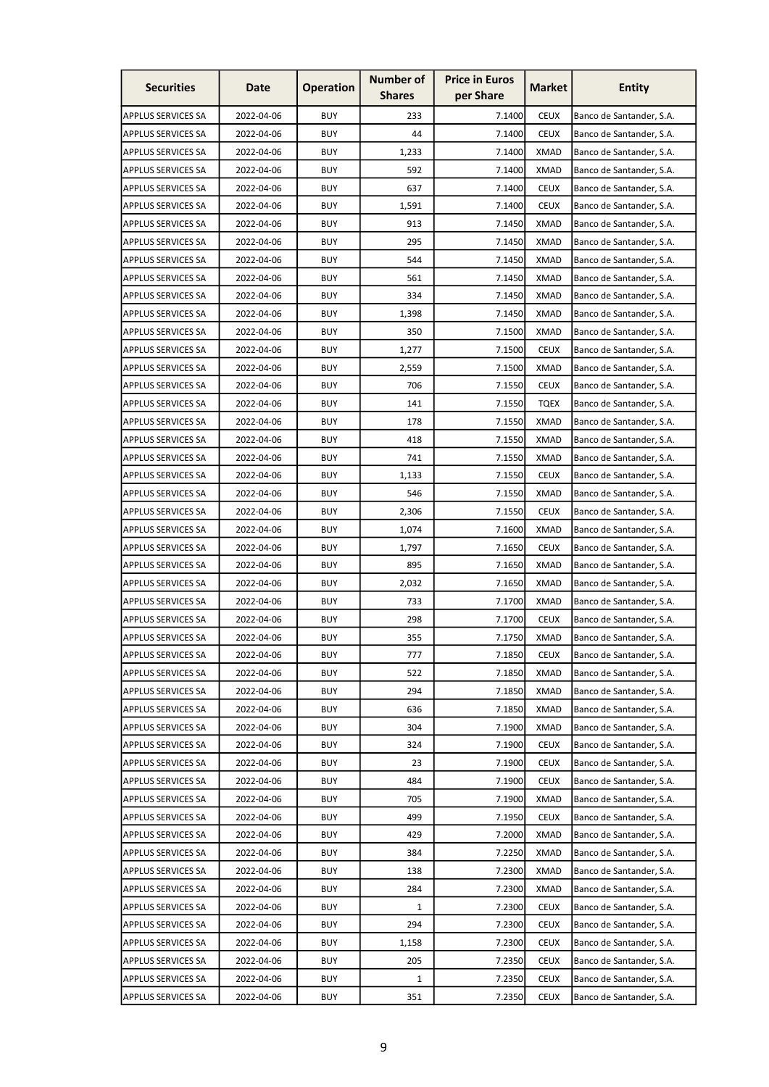| <b>Securities</b>                               | Date       | <b>Operation</b> | <b>Number of</b><br><b>Shares</b> | <b>Price in Euros</b><br>per Share | <b>Market</b> | <b>Entity</b>                                        |
|-------------------------------------------------|------------|------------------|-----------------------------------|------------------------------------|---------------|------------------------------------------------------|
| <b>APPLUS SERVICES SA</b>                       | 2022-04-06 | <b>BUY</b>       | 233                               | 7.1400                             | <b>CEUX</b>   | Banco de Santander, S.A.                             |
| <b>APPLUS SERVICES SA</b>                       | 2022-04-06 | <b>BUY</b>       | 44                                | 7.1400                             | <b>CEUX</b>   | Banco de Santander, S.A.                             |
| <b>APPLUS SERVICES SA</b>                       | 2022-04-06 | <b>BUY</b>       | 1,233                             | 7.1400                             | <b>XMAD</b>   | Banco de Santander, S.A.                             |
| <b>APPLUS SERVICES SA</b>                       | 2022-04-06 | <b>BUY</b>       | 592                               | 7.1400                             | <b>XMAD</b>   | Banco de Santander, S.A.                             |
| <b>APPLUS SERVICES SA</b>                       | 2022-04-06 | <b>BUY</b>       | 637                               | 7.1400                             | <b>CEUX</b>   | Banco de Santander, S.A.                             |
| <b>APPLUS SERVICES SA</b>                       | 2022-04-06 | <b>BUY</b>       | 1,591                             | 7.1400                             | <b>CEUX</b>   | Banco de Santander, S.A.                             |
| <b>APPLUS SERVICES SA</b>                       | 2022-04-06 | <b>BUY</b>       | 913                               | 7.1450                             | XMAD          | Banco de Santander, S.A.                             |
| <b>APPLUS SERVICES SA</b>                       | 2022-04-06 | <b>BUY</b>       | 295                               | 7.1450                             | <b>XMAD</b>   | Banco de Santander, S.A.                             |
| <b>APPLUS SERVICES SA</b>                       | 2022-04-06 | <b>BUY</b>       | 544                               | 7.1450                             | <b>XMAD</b>   | Banco de Santander, S.A.                             |
| <b>APPLUS SERVICES SA</b>                       | 2022-04-06 | <b>BUY</b>       | 561                               | 7.1450                             | <b>XMAD</b>   | Banco de Santander, S.A.                             |
| <b>APPLUS SERVICES SA</b>                       | 2022-04-06 | <b>BUY</b>       | 334                               | 7.1450                             | <b>XMAD</b>   | Banco de Santander, S.A.                             |
| <b>APPLUS SERVICES SA</b>                       | 2022-04-06 | <b>BUY</b>       | 1,398                             | 7.1450                             | XMAD          | Banco de Santander, S.A.                             |
| <b>APPLUS SERVICES SA</b>                       | 2022-04-06 | <b>BUY</b>       | 350                               | 7.1500                             | <b>XMAD</b>   | Banco de Santander, S.A.                             |
| <b>APPLUS SERVICES SA</b>                       | 2022-04-06 | <b>BUY</b>       | 1,277                             | 7.1500                             | <b>CEUX</b>   | Banco de Santander, S.A.                             |
| <b>APPLUS SERVICES SA</b>                       | 2022-04-06 | <b>BUY</b>       | 2,559                             | 7.1500                             | <b>XMAD</b>   | Banco de Santander, S.A.                             |
| <b>APPLUS SERVICES SA</b>                       | 2022-04-06 | <b>BUY</b>       | 706                               | 7.1550                             | <b>CEUX</b>   | Banco de Santander, S.A.                             |
| <b>APPLUS SERVICES SA</b>                       | 2022-04-06 | <b>BUY</b>       | 141                               | 7.1550                             | <b>TQEX</b>   | Banco de Santander, S.A.                             |
| <b>APPLUS SERVICES SA</b>                       | 2022-04-06 | <b>BUY</b>       | 178                               | 7.1550                             | <b>XMAD</b>   | Banco de Santander, S.A.                             |
| <b>APPLUS SERVICES SA</b>                       | 2022-04-06 | <b>BUY</b>       | 418                               | 7.1550                             | XMAD          | Banco de Santander, S.A.                             |
| <b>APPLUS SERVICES SA</b>                       | 2022-04-06 | <b>BUY</b>       | 741                               | 7.1550                             | XMAD          | Banco de Santander, S.A.                             |
| <b>APPLUS SERVICES SA</b>                       | 2022-04-06 | <b>BUY</b>       | 1,133                             | 7.1550                             | <b>CEUX</b>   | Banco de Santander, S.A.                             |
| <b>APPLUS SERVICES SA</b>                       | 2022-04-06 | <b>BUY</b>       | 546                               | 7.1550                             | <b>XMAD</b>   | Banco de Santander, S.A.                             |
| <b>APPLUS SERVICES SA</b>                       | 2022-04-06 | <b>BUY</b>       | 2,306                             | 7.1550                             | <b>CEUX</b>   | Banco de Santander, S.A.                             |
| <b>APPLUS SERVICES SA</b>                       | 2022-04-06 | <b>BUY</b>       | 1,074                             | 7.1600                             | <b>XMAD</b>   | Banco de Santander, S.A.                             |
| <b>APPLUS SERVICES SA</b>                       | 2022-04-06 | <b>BUY</b>       | 1,797                             | 7.1650                             | <b>CEUX</b>   | Banco de Santander, S.A.                             |
| <b>APPLUS SERVICES SA</b>                       | 2022-04-06 | <b>BUY</b>       | 895                               | 7.1650                             | XMAD          | Banco de Santander, S.A.                             |
| <b>APPLUS SERVICES SA</b>                       | 2022-04-06 | <b>BUY</b>       | 2,032                             | 7.1650                             | <b>XMAD</b>   | Banco de Santander, S.A.                             |
| <b>APPLUS SERVICES SA</b>                       | 2022-04-06 | <b>BUY</b>       | 733                               | 7.1700                             | <b>XMAD</b>   | Banco de Santander, S.A.                             |
| APPLUS SERVICES SA                              | 2022-04-06 | <b>BUY</b>       | 298                               | 7.1700                             | <b>CEUX</b>   | Banco de Santander, S.A.                             |
| <b>APPLUS SERVICES SA</b>                       | 2022-04-06 | <b>BUY</b>       | 355                               | 7.1750                             | <b>XMAD</b>   | Banco de Santander, S.A.                             |
| <b>APPLUS SERVICES SA</b>                       | 2022-04-06 | <b>BUY</b>       | 777                               | 7.1850                             | <b>CEUX</b>   | Banco de Santander, S.A.                             |
| <b>APPLUS SERVICES SA</b>                       | 2022-04-06 | <b>BUY</b>       | 522                               | 7.1850                             | XMAD          | Banco de Santander, S.A.                             |
| <b>APPLUS SERVICES SA</b>                       | 2022-04-06 | <b>BUY</b>       | 294                               | 7.1850                             | <b>XMAD</b>   | Banco de Santander, S.A.                             |
| <b>APPLUS SERVICES SA</b>                       | 2022-04-06 | <b>BUY</b>       | 636                               | 7.1850                             | <b>XMAD</b>   | Banco de Santander, S.A.                             |
| <b>APPLUS SERVICES SA</b>                       | 2022-04-06 | <b>BUY</b>       | 304                               | 7.1900                             | <b>XMAD</b>   | Banco de Santander, S.A.                             |
| <b>APPLUS SERVICES SA</b>                       | 2022-04-06 | <b>BUY</b>       | 324                               | 7.1900                             | <b>CEUX</b>   | Banco de Santander, S.A.                             |
| <b>APPLUS SERVICES SA</b>                       | 2022-04-06 | <b>BUY</b>       | 23                                | 7.1900                             | <b>CEUX</b>   | Banco de Santander, S.A.                             |
| <b>APPLUS SERVICES SA</b>                       | 2022-04-06 | <b>BUY</b>       | 484                               | 7.1900                             | <b>CEUX</b>   | Banco de Santander, S.A.                             |
| <b>APPLUS SERVICES SA</b>                       | 2022-04-06 | <b>BUY</b>       | 705                               | 7.1900                             | XMAD          | Banco de Santander, S.A.                             |
| <b>APPLUS SERVICES SA</b>                       | 2022-04-06 | <b>BUY</b>       | 499                               | 7.1950                             | <b>CEUX</b>   | Banco de Santander, S.A.                             |
| <b>APPLUS SERVICES SA</b>                       | 2022-04-06 | <b>BUY</b>       | 429                               | 7.2000                             | <b>XMAD</b>   | Banco de Santander, S.A.                             |
| <b>APPLUS SERVICES SA</b>                       | 2022-04-06 | <b>BUY</b>       | 384                               | 7.2250                             | <b>XMAD</b>   | Banco de Santander, S.A.                             |
| <b>APPLUS SERVICES SA</b>                       | 2022-04-06 | <b>BUY</b>       | 138                               | 7.2300                             | <b>XMAD</b>   | Banco de Santander, S.A.                             |
| <b>APPLUS SERVICES SA</b>                       | 2022-04-06 | <b>BUY</b>       | 284                               |                                    | <b>XMAD</b>   | Banco de Santander, S.A.                             |
| <b>APPLUS SERVICES SA</b>                       | 2022-04-06 | <b>BUY</b>       |                                   | 7.2300<br>7.2300                   | <b>CEUX</b>   |                                                      |
| <b>APPLUS SERVICES SA</b>                       | 2022-04-06 | <b>BUY</b>       | 1<br>294                          | 7.2300                             | <b>CEUX</b>   | Banco de Santander, S.A.<br>Banco de Santander, S.A. |
|                                                 | 2022-04-06 | <b>BUY</b>       |                                   | 7.2300                             | <b>CEUX</b>   |                                                      |
| <b>APPLUS SERVICES SA</b><br>APPLUS SERVICES SA | 2022-04-06 | <b>BUY</b>       | 1,158<br>205                      |                                    | <b>CEUX</b>   | Banco de Santander, S.A.                             |
| APPLUS SERVICES SA                              | 2022-04-06 | <b>BUY</b>       | $\mathbf{1}$                      | 7.2350<br>7.2350                   | <b>CEUX</b>   | Banco de Santander, S.A.<br>Banco de Santander, S.A. |
|                                                 | 2022-04-06 | <b>BUY</b>       | 351                               |                                    | <b>CEUX</b>   |                                                      |
| <b>APPLUS SERVICES SA</b>                       |            |                  |                                   | 7.2350                             |               | Banco de Santander, S.A.                             |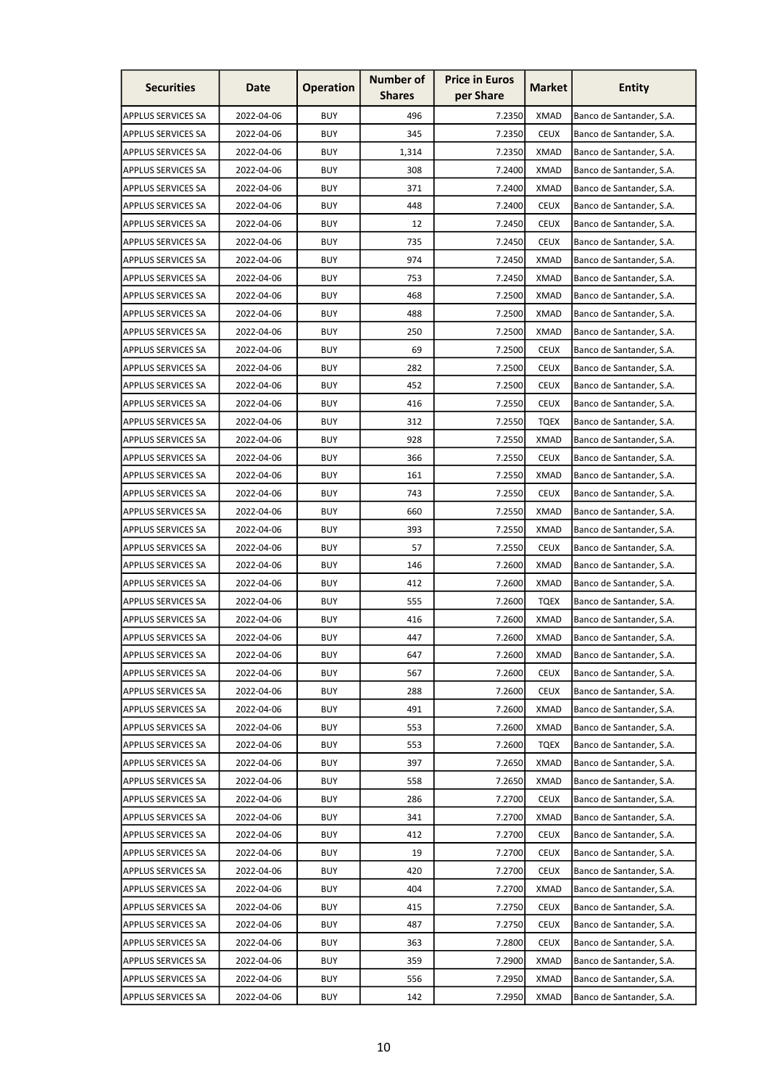| <b>Securities</b>         | Date       | <b>Operation</b> | <b>Number of</b><br><b>Shares</b> | <b>Price in Euros</b><br>per Share | <b>Market</b> | <b>Entity</b>            |
|---------------------------|------------|------------------|-----------------------------------|------------------------------------|---------------|--------------------------|
| <b>APPLUS SERVICES SA</b> | 2022-04-06 | <b>BUY</b>       | 496                               | 7.2350                             | <b>XMAD</b>   | Banco de Santander, S.A. |
| <b>APPLUS SERVICES SA</b> | 2022-04-06 | <b>BUY</b>       | 345                               | 7.2350                             | <b>CEUX</b>   | Banco de Santander, S.A. |
| <b>APPLUS SERVICES SA</b> | 2022-04-06 | <b>BUY</b>       | 1,314                             | 7.2350                             | <b>XMAD</b>   | Banco de Santander, S.A. |
| <b>APPLUS SERVICES SA</b> | 2022-04-06 | <b>BUY</b>       | 308                               | 7.2400                             | <b>XMAD</b>   | Banco de Santander, S.A. |
| <b>APPLUS SERVICES SA</b> | 2022-04-06 | <b>BUY</b>       | 371                               | 7.2400                             | <b>XMAD</b>   | Banco de Santander, S.A. |
| <b>APPLUS SERVICES SA</b> | 2022-04-06 | <b>BUY</b>       | 448                               | 7.2400                             | <b>CEUX</b>   | Banco de Santander, S.A. |
| <b>APPLUS SERVICES SA</b> | 2022-04-06 | <b>BUY</b>       | 12                                | 7.2450                             | <b>CEUX</b>   | Banco de Santander, S.A. |
| <b>APPLUS SERVICES SA</b> | 2022-04-06 | <b>BUY</b>       | 735                               | 7.2450                             | <b>CEUX</b>   | Banco de Santander, S.A. |
| <b>APPLUS SERVICES SA</b> | 2022-04-06 | <b>BUY</b>       | 974                               | 7.2450                             | <b>XMAD</b>   | Banco de Santander, S.A. |
| <b>APPLUS SERVICES SA</b> | 2022-04-06 | <b>BUY</b>       | 753                               | 7.2450                             | <b>XMAD</b>   | Banco de Santander, S.A. |
| <b>APPLUS SERVICES SA</b> | 2022-04-06 | <b>BUY</b>       | 468                               | 7.2500                             | <b>XMAD</b>   | Banco de Santander, S.A. |
| <b>APPLUS SERVICES SA</b> | 2022-04-06 | <b>BUY</b>       | 488                               | 7.2500                             | XMAD          | Banco de Santander, S.A. |
| <b>APPLUS SERVICES SA</b> | 2022-04-06 | <b>BUY</b>       | 250                               | 7.2500                             | <b>XMAD</b>   | Banco de Santander, S.A. |
| <b>APPLUS SERVICES SA</b> | 2022-04-06 | <b>BUY</b>       | 69                                | 7.2500                             | <b>CEUX</b>   | Banco de Santander, S.A. |
| <b>APPLUS SERVICES SA</b> | 2022-04-06 | <b>BUY</b>       | 282                               | 7.2500                             | <b>CEUX</b>   | Banco de Santander, S.A. |
| <b>APPLUS SERVICES SA</b> | 2022-04-06 | <b>BUY</b>       | 452                               | 7.2500                             | <b>CEUX</b>   | Banco de Santander, S.A. |
| <b>APPLUS SERVICES SA</b> | 2022-04-06 | <b>BUY</b>       | 416                               | 7.2550                             | <b>CEUX</b>   | Banco de Santander, S.A. |
| <b>APPLUS SERVICES SA</b> | 2022-04-06 | <b>BUY</b>       | 312                               | 7.2550                             | <b>TOEX</b>   | Banco de Santander, S.A. |
| <b>APPLUS SERVICES SA</b> | 2022-04-06 | <b>BUY</b>       | 928                               | 7.2550                             | <b>XMAD</b>   | Banco de Santander, S.A. |
| <b>APPLUS SERVICES SA</b> | 2022-04-06 | <b>BUY</b>       | 366                               | 7.2550                             | <b>CEUX</b>   | Banco de Santander, S.A. |
| <b>APPLUS SERVICES SA</b> | 2022-04-06 | <b>BUY</b>       | 161                               | 7.2550                             | <b>XMAD</b>   | Banco de Santander, S.A. |
| <b>APPLUS SERVICES SA</b> | 2022-04-06 | <b>BUY</b>       | 743                               | 7.2550                             | <b>CEUX</b>   | Banco de Santander, S.A. |
| <b>APPLUS SERVICES SA</b> | 2022-04-06 | <b>BUY</b>       | 660                               | 7.2550                             | <b>XMAD</b>   | Banco de Santander, S.A. |
| <b>APPLUS SERVICES SA</b> | 2022-04-06 | <b>BUY</b>       | 393                               | 7.2550                             | <b>XMAD</b>   | Banco de Santander, S.A. |
| <b>APPLUS SERVICES SA</b> | 2022-04-06 | <b>BUY</b>       | 57                                | 7.2550                             | <b>CEUX</b>   | Banco de Santander, S.A. |
| <b>APPLUS SERVICES SA</b> | 2022-04-06 | <b>BUY</b>       | 146                               | 7.2600                             | XMAD          | Banco de Santander, S.A. |
| <b>APPLUS SERVICES SA</b> | 2022-04-06 | <b>BUY</b>       | 412                               | 7.2600                             | <b>XMAD</b>   | Banco de Santander, S.A. |
| <b>APPLUS SERVICES SA</b> | 2022-04-06 | <b>BUY</b>       | 555                               | 7.2600                             | <b>TQEX</b>   | Banco de Santander, S.A. |
| APPLUS SERVICES SA        | 2022-04-06 | <b>BUY</b>       | 416                               | 7.2600                             | <b>XMAD</b>   | Banco de Santander, S.A. |
| <b>APPLUS SERVICES SA</b> | 2022-04-06 | <b>BUY</b>       | 447                               | 7.2600                             | <b>XMAD</b>   | Banco de Santander, S.A. |
| <b>APPLUS SERVICES SA</b> | 2022-04-06 | <b>BUY</b>       | 647                               | 7.2600                             | <b>XMAD</b>   | Banco de Santander, S.A. |
| <b>APPLUS SERVICES SA</b> | 2022-04-06 | <b>BUY</b>       | 567                               | 7.2600                             | <b>CEUX</b>   | Banco de Santander, S.A. |
| <b>APPLUS SERVICES SA</b> | 2022-04-06 | <b>BUY</b>       | 288                               | 7.2600                             | <b>CEUX</b>   | Banco de Santander, S.A. |
| <b>APPLUS SERVICES SA</b> | 2022-04-06 | <b>BUY</b>       | 491                               | 7.2600                             | <b>XMAD</b>   | Banco de Santander, S.A. |
| <b>APPLUS SERVICES SA</b> | 2022-04-06 | <b>BUY</b>       | 553                               | 7.2600                             | <b>XMAD</b>   | Banco de Santander, S.A. |
| <b>APPLUS SERVICES SA</b> | 2022-04-06 | <b>BUY</b>       | 553                               | 7.2600                             | <b>TQEX</b>   | Banco de Santander, S.A. |
| <b>APPLUS SERVICES SA</b> | 2022-04-06 | <b>BUY</b>       | 397                               | 7.2650                             | <b>XMAD</b>   | Banco de Santander, S.A. |
| <b>APPLUS SERVICES SA</b> | 2022-04-06 | <b>BUY</b>       | 558                               | 7.2650                             | XMAD          | Banco de Santander, S.A. |
| <b>APPLUS SERVICES SA</b> | 2022-04-06 | <b>BUY</b>       | 286                               | 7.2700                             | <b>CEUX</b>   | Banco de Santander, S.A. |
| <b>APPLUS SERVICES SA</b> | 2022-04-06 | <b>BUY</b>       | 341                               | 7.2700                             | <b>XMAD</b>   | Banco de Santander, S.A. |
| <b>APPLUS SERVICES SA</b> | 2022-04-06 | <b>BUY</b>       | 412                               | 7.2700                             | <b>CEUX</b>   | Banco de Santander, S.A. |
| <b>APPLUS SERVICES SA</b> | 2022-04-06 | <b>BUY</b>       | 19                                | 7.2700                             | <b>CEUX</b>   | Banco de Santander, S.A. |
| <b>APPLUS SERVICES SA</b> | 2022-04-06 | <b>BUY</b>       | 420                               | 7.2700                             | <b>CEUX</b>   | Banco de Santander, S.A. |
| <b>APPLUS SERVICES SA</b> | 2022-04-06 | <b>BUY</b>       | 404                               | 7.2700                             | <b>XMAD</b>   | Banco de Santander, S.A. |
| <b>APPLUS SERVICES SA</b> | 2022-04-06 | <b>BUY</b>       | 415                               | 7.2750                             | <b>CEUX</b>   | Banco de Santander, S.A. |
| <b>APPLUS SERVICES SA</b> | 2022-04-06 | <b>BUY</b>       | 487                               | 7.2750                             | <b>CEUX</b>   | Banco de Santander, S.A. |
| <b>APPLUS SERVICES SA</b> | 2022-04-06 | <b>BUY</b>       | 363                               | 7.2800                             | <b>CEUX</b>   | Banco de Santander, S.A. |
| <b>APPLUS SERVICES SA</b> | 2022-04-06 | <b>BUY</b>       | 359                               | 7.2900                             | <b>XMAD</b>   | Banco de Santander, S.A. |
| <b>APPLUS SERVICES SA</b> | 2022-04-06 | <b>BUY</b>       | 556                               | 7.2950                             | <b>XMAD</b>   | Banco de Santander, S.A. |
| <b>APPLUS SERVICES SA</b> | 2022-04-06 | <b>BUY</b>       | 142                               | 7.2950                             | <b>XMAD</b>   | Banco de Santander, S.A. |
|                           |            |                  |                                   |                                    |               |                          |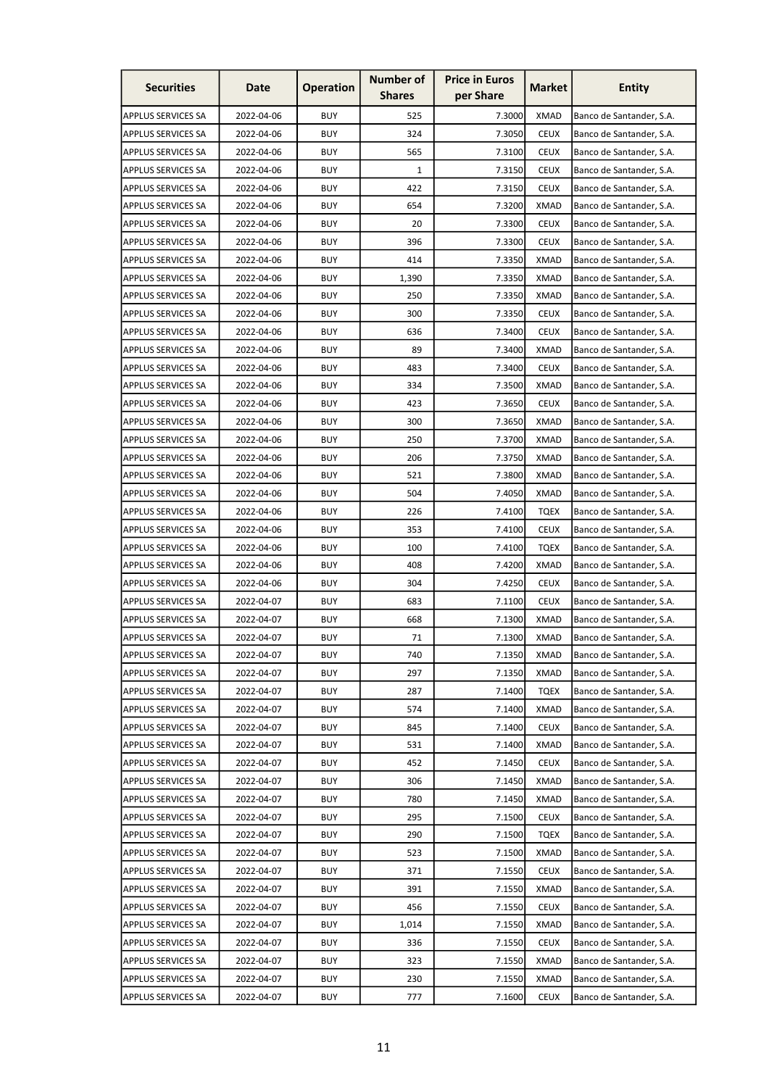| <b>Securities</b>         | Date       | <b>Operation</b> | <b>Number of</b><br><b>Shares</b> | <b>Price in Euros</b><br>per Share | <b>Market</b> | <b>Entity</b>            |
|---------------------------|------------|------------------|-----------------------------------|------------------------------------|---------------|--------------------------|
| <b>APPLUS SERVICES SA</b> | 2022-04-06 | <b>BUY</b>       | 525                               | 7.3000                             | <b>XMAD</b>   | Banco de Santander, S.A. |
| <b>APPLUS SERVICES SA</b> | 2022-04-06 | <b>BUY</b>       | 324                               | 7.3050                             | <b>CEUX</b>   | Banco de Santander, S.A. |
| <b>APPLUS SERVICES SA</b> | 2022-04-06 | <b>BUY</b>       | 565                               | 7.3100                             | <b>CEUX</b>   | Banco de Santander, S.A. |
| <b>APPLUS SERVICES SA</b> | 2022-04-06 | <b>BUY</b>       | 1                                 | 7.3150                             | <b>CEUX</b>   | Banco de Santander, S.A. |
| <b>APPLUS SERVICES SA</b> | 2022-04-06 | <b>BUY</b>       | 422                               | 7.3150                             | <b>CEUX</b>   | Banco de Santander, S.A. |
| <b>APPLUS SERVICES SA</b> | 2022-04-06 | <b>BUY</b>       | 654                               | 7.3200                             | <b>XMAD</b>   | Banco de Santander, S.A. |
| <b>APPLUS SERVICES SA</b> | 2022-04-06 | <b>BUY</b>       | 20                                | 7.3300                             | <b>CEUX</b>   | Banco de Santander, S.A. |
| <b>APPLUS SERVICES SA</b> | 2022-04-06 | <b>BUY</b>       | 396                               | 7.3300                             | <b>CEUX</b>   | Banco de Santander, S.A. |
| <b>APPLUS SERVICES SA</b> | 2022-04-06 | <b>BUY</b>       | 414                               | 7.3350                             | <b>XMAD</b>   | Banco de Santander, S.A. |
| <b>APPLUS SERVICES SA</b> | 2022-04-06 | <b>BUY</b>       | 1,390                             | 7.3350                             | <b>XMAD</b>   | Banco de Santander, S.A. |
| <b>APPLUS SERVICES SA</b> | 2022-04-06 | <b>BUY</b>       | 250                               | 7.3350                             | <b>XMAD</b>   | Banco de Santander, S.A. |
| <b>APPLUS SERVICES SA</b> | 2022-04-06 | <b>BUY</b>       | 300                               | 7.3350                             | <b>CEUX</b>   | Banco de Santander, S.A. |
| <b>APPLUS SERVICES SA</b> | 2022-04-06 | <b>BUY</b>       | 636                               | 7.3400                             | <b>CEUX</b>   | Banco de Santander, S.A. |
| <b>APPLUS SERVICES SA</b> | 2022-04-06 | <b>BUY</b>       | 89                                | 7.3400                             | <b>XMAD</b>   | Banco de Santander, S.A. |
| <b>APPLUS SERVICES SA</b> | 2022-04-06 | <b>BUY</b>       | 483                               | 7.3400                             | <b>CEUX</b>   | Banco de Santander, S.A. |
| APPLUS SERVICES SA        | 2022-04-06 | <b>BUY</b>       | 334                               | 7.3500                             | <b>XMAD</b>   | Banco de Santander, S.A. |
| <b>APPLUS SERVICES SA</b> | 2022-04-06 | <b>BUY</b>       | 423                               | 7.3650                             | <b>CEUX</b>   | Banco de Santander, S.A. |
| <b>APPLUS SERVICES SA</b> | 2022-04-06 | <b>BUY</b>       | 300                               | 7.3650                             | <b>XMAD</b>   | Banco de Santander, S.A. |
| <b>APPLUS SERVICES SA</b> | 2022-04-06 | <b>BUY</b>       | 250                               | 7.3700                             | <b>XMAD</b>   | Banco de Santander, S.A. |
| <b>APPLUS SERVICES SA</b> | 2022-04-06 | <b>BUY</b>       | 206                               | 7.3750                             | <b>XMAD</b>   | Banco de Santander, S.A. |
| <b>APPLUS SERVICES SA</b> | 2022-04-06 | <b>BUY</b>       | 521                               | 7.3800                             | <b>XMAD</b>   | Banco de Santander, S.A. |
| <b>APPLUS SERVICES SA</b> | 2022-04-06 | <b>BUY</b>       | 504                               | 7.4050                             | <b>XMAD</b>   | Banco de Santander, S.A. |
| <b>APPLUS SERVICES SA</b> | 2022-04-06 | <b>BUY</b>       | 226                               | 7.4100                             | <b>TQEX</b>   | Banco de Santander, S.A. |
| <b>APPLUS SERVICES SA</b> | 2022-04-06 | <b>BUY</b>       | 353                               | 7.4100                             | <b>CEUX</b>   | Banco de Santander, S.A. |
| <b>APPLUS SERVICES SA</b> | 2022-04-06 | <b>BUY</b>       | 100                               | 7.4100                             | TQEX          | Banco de Santander, S.A. |
| <b>APPLUS SERVICES SA</b> | 2022-04-06 | <b>BUY</b>       | 408                               | 7.4200                             | <b>XMAD</b>   | Banco de Santander, S.A. |
| <b>APPLUS SERVICES SA</b> | 2022-04-06 | <b>BUY</b>       | 304                               | 7.4250                             | <b>CEUX</b>   | Banco de Santander, S.A. |
| APPLUS SERVICES SA        | 2022-04-07 | <b>BUY</b>       | 683                               | 7.1100                             | <b>CEUX</b>   | Banco de Santander, S.A. |
| <b>APPLUS SERVICES SA</b> | 2022-04-07 | <b>BUY</b>       | 668                               | 7.1300                             | <b>XMAD</b>   | Banco de Santander, S.A. |
| <b>APPLUS SERVICES SA</b> | 2022-04-07 | <b>BUY</b>       | 71                                | 7.1300                             | <b>XMAD</b>   | Banco de Santander, S.A. |
| <b>APPLUS SERVICES SA</b> | 2022-04-07 | <b>BUY</b>       | 740                               | 7.1350                             | <b>XMAD</b>   | Banco de Santander, S.A. |
| <b>APPLUS SERVICES SA</b> | 2022-04-07 | <b>BUY</b>       | 297                               | 7.1350                             | <b>XMAD</b>   | Banco de Santander, S.A. |
| <b>APPLUS SERVICES SA</b> | 2022-04-07 | <b>BUY</b>       | 287                               | 7.1400                             | <b>TQEX</b>   | Banco de Santander, S.A. |
| <b>APPLUS SERVICES SA</b> | 2022-04-07 | <b>BUY</b>       | 574                               | 7.1400                             | <b>XMAD</b>   | Banco de Santander, S.A. |
| <b>APPLUS SERVICES SA</b> | 2022-04-07 | <b>BUY</b>       | 845                               | 7.1400                             | <b>CEUX</b>   | Banco de Santander, S.A. |
| <b>APPLUS SERVICES SA</b> | 2022-04-07 | <b>BUY</b>       | 531                               | 7.1400                             | <b>XMAD</b>   | Banco de Santander, S.A. |
| <b>APPLUS SERVICES SA</b> | 2022-04-07 | <b>BUY</b>       | 452                               | 7.1450                             | <b>CEUX</b>   | Banco de Santander, S.A. |
| <b>APPLUS SERVICES SA</b> | 2022-04-07 | <b>BUY</b>       | 306                               | 7.1450                             | <b>XMAD</b>   | Banco de Santander, S.A. |
| <b>APPLUS SERVICES SA</b> | 2022-04-07 | <b>BUY</b>       | 780                               | 7.1450                             | <b>XMAD</b>   | Banco de Santander, S.A. |
| <b>APPLUS SERVICES SA</b> | 2022-04-07 | <b>BUY</b>       | 295                               | 7.1500                             | <b>CEUX</b>   | Banco de Santander, S.A. |
| <b>APPLUS SERVICES SA</b> | 2022-04-07 | <b>BUY</b>       | 290                               | 7.1500                             | <b>TQEX</b>   | Banco de Santander, S.A. |
| <b>APPLUS SERVICES SA</b> | 2022-04-07 | <b>BUY</b>       | 523                               | 7.1500                             | <b>XMAD</b>   | Banco de Santander, S.A. |
| <b>APPLUS SERVICES SA</b> | 2022-04-07 | <b>BUY</b>       | 371                               | 7.1550                             | <b>CEUX</b>   | Banco de Santander, S.A. |
| <b>APPLUS SERVICES SA</b> | 2022-04-07 | <b>BUY</b>       | 391                               | 7.1550                             | <b>XMAD</b>   | Banco de Santander, S.A. |
| <b>APPLUS SERVICES SA</b> | 2022-04-07 | <b>BUY</b>       | 456                               | 7.1550                             | <b>CEUX</b>   | Banco de Santander, S.A. |
| <b>APPLUS SERVICES SA</b> | 2022-04-07 | <b>BUY</b>       | 1,014                             | 7.1550                             | <b>XMAD</b>   | Banco de Santander, S.A. |
| <b>APPLUS SERVICES SA</b> | 2022-04-07 | <b>BUY</b>       | 336                               | 7.1550                             | <b>CEUX</b>   | Banco de Santander, S.A. |
| <b>APPLUS SERVICES SA</b> | 2022-04-07 | <b>BUY</b>       | 323                               | 7.1550                             | <b>XMAD</b>   | Banco de Santander, S.A. |
| <b>APPLUS SERVICES SA</b> | 2022-04-07 | <b>BUY</b>       | 230                               | 7.1550                             | <b>XMAD</b>   | Banco de Santander, S.A. |
| <b>APPLUS SERVICES SA</b> | 2022-04-07 | <b>BUY</b>       | 777                               | 7.1600                             | <b>CEUX</b>   | Banco de Santander, S.A. |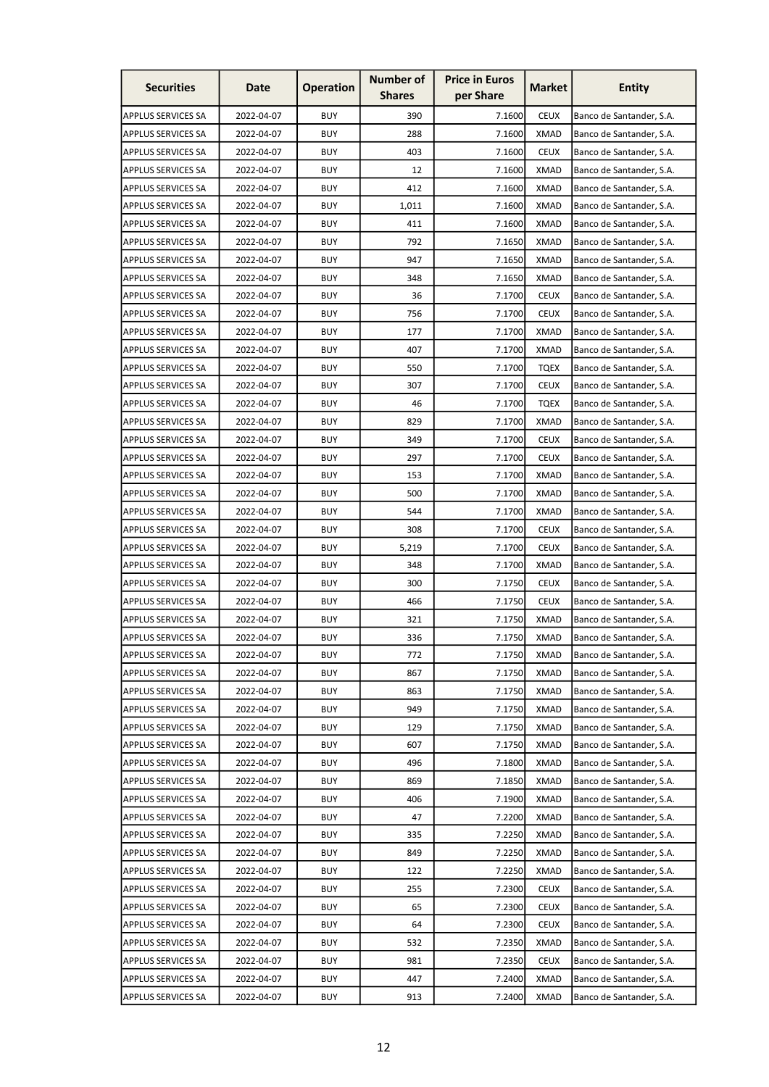| <b>Securities</b>         | Date       | <b>Operation</b> | <b>Number of</b><br><b>Shares</b> | <b>Price in Euros</b><br>per Share | <b>Market</b> | <b>Entity</b>            |
|---------------------------|------------|------------------|-----------------------------------|------------------------------------|---------------|--------------------------|
| <b>APPLUS SERVICES SA</b> | 2022-04-07 | <b>BUY</b>       | 390                               | 7.1600                             | <b>CEUX</b>   | Banco de Santander, S.A. |
| <b>APPLUS SERVICES SA</b> | 2022-04-07 | <b>BUY</b>       | 288                               | 7.1600                             | <b>XMAD</b>   | Banco de Santander, S.A. |
| <b>APPLUS SERVICES SA</b> | 2022-04-07 | <b>BUY</b>       | 403                               | 7.1600                             | <b>CEUX</b>   | Banco de Santander, S.A. |
| <b>APPLUS SERVICES SA</b> | 2022-04-07 | <b>BUY</b>       | 12                                | 7.1600                             | <b>XMAD</b>   | Banco de Santander, S.A. |
| <b>APPLUS SERVICES SA</b> | 2022-04-07 | <b>BUY</b>       | 412                               | 7.1600                             | <b>XMAD</b>   | Banco de Santander, S.A. |
| <b>APPLUS SERVICES SA</b> | 2022-04-07 | <b>BUY</b>       | 1,011                             | 7.1600                             | <b>XMAD</b>   | Banco de Santander, S.A. |
| <b>APPLUS SERVICES SA</b> | 2022-04-07 | <b>BUY</b>       | 411                               | 7.1600                             | XMAD          | Banco de Santander, S.A. |
| <b>APPLUS SERVICES SA</b> | 2022-04-07 | <b>BUY</b>       | 792                               | 7.1650                             | <b>XMAD</b>   | Banco de Santander, S.A. |
| <b>APPLUS SERVICES SA</b> | 2022-04-07 | <b>BUY</b>       | 947                               | 7.1650                             | <b>XMAD</b>   | Banco de Santander, S.A. |
| <b>APPLUS SERVICES SA</b> | 2022-04-07 | <b>BUY</b>       | 348                               | 7.1650                             | <b>XMAD</b>   | Banco de Santander, S.A. |
| <b>APPLUS SERVICES SA</b> | 2022-04-07 | <b>BUY</b>       | 36                                | 7.1700                             | <b>CEUX</b>   | Banco de Santander, S.A. |
| <b>APPLUS SERVICES SA</b> | 2022-04-07 | <b>BUY</b>       | 756                               | 7.1700                             | <b>CEUX</b>   | Banco de Santander, S.A. |
| <b>APPLUS SERVICES SA</b> | 2022-04-07 | <b>BUY</b>       | 177                               | 7.1700                             | <b>XMAD</b>   | Banco de Santander, S.A. |
| <b>APPLUS SERVICES SA</b> | 2022-04-07 | <b>BUY</b>       | 407                               | 7.1700                             | XMAD          | Banco de Santander, S.A. |
| <b>APPLUS SERVICES SA</b> | 2022-04-07 | <b>BUY</b>       | 550                               | 7.1700                             | <b>TQEX</b>   | Banco de Santander, S.A. |
| <b>APPLUS SERVICES SA</b> | 2022-04-07 | <b>BUY</b>       | 307                               | 7.1700                             | <b>CEUX</b>   | Banco de Santander, S.A. |
| <b>APPLUS SERVICES SA</b> | 2022-04-07 | <b>BUY</b>       | 46                                | 7.1700                             | <b>TQEX</b>   | Banco de Santander, S.A. |
| <b>APPLUS SERVICES SA</b> | 2022-04-07 | <b>BUY</b>       | 829                               | 7.1700                             | <b>XMAD</b>   | Banco de Santander, S.A. |
| <b>APPLUS SERVICES SA</b> | 2022-04-07 | <b>BUY</b>       | 349                               | 7.1700                             | <b>CEUX</b>   | Banco de Santander, S.A. |
| <b>APPLUS SERVICES SA</b> | 2022-04-07 | <b>BUY</b>       | 297                               | 7.1700                             | <b>CEUX</b>   | Banco de Santander, S.A. |
| <b>APPLUS SERVICES SA</b> | 2022-04-07 | <b>BUY</b>       | 153                               | 7.1700                             | <b>XMAD</b>   | Banco de Santander, S.A. |
| <b>APPLUS SERVICES SA</b> | 2022-04-07 | <b>BUY</b>       | 500                               | 7.1700                             | <b>XMAD</b>   | Banco de Santander, S.A. |
| <b>APPLUS SERVICES SA</b> | 2022-04-07 | <b>BUY</b>       | 544                               | 7.1700                             | <b>XMAD</b>   | Banco de Santander, S.A. |
| <b>APPLUS SERVICES SA</b> | 2022-04-07 | <b>BUY</b>       | 308                               | 7.1700                             | <b>CEUX</b>   | Banco de Santander, S.A. |
| <b>APPLUS SERVICES SA</b> | 2022-04-07 | <b>BUY</b>       | 5,219                             | 7.1700                             | <b>CEUX</b>   | Banco de Santander, S.A. |
| <b>APPLUS SERVICES SA</b> | 2022-04-07 | <b>BUY</b>       | 348                               | 7.1700                             | XMAD          | Banco de Santander, S.A. |
| <b>APPLUS SERVICES SA</b> | 2022-04-07 | <b>BUY</b>       | 300                               | 7.1750                             | <b>CEUX</b>   | Banco de Santander, S.A. |
| <b>APPLUS SERVICES SA</b> | 2022-04-07 | <b>BUY</b>       | 466                               | 7.1750                             | <b>CEUX</b>   | Banco de Santander, S.A. |
| APPLUS SERVICES SA        | 2022-04-07 | <b>BUY</b>       | 321                               | 7.1750                             | <b>XMAD</b>   | Banco de Santander, S.A. |
| <b>APPLUS SERVICES SA</b> | 2022-04-07 | <b>BUY</b>       | 336                               | 7.1750                             | <b>XMAD</b>   | Banco de Santander, S.A. |
| <b>APPLUS SERVICES SA</b> | 2022-04-07 | <b>BUY</b>       | 772                               | 7.1750                             | <b>XMAD</b>   | Banco de Santander, S.A. |
| <b>APPLUS SERVICES SA</b> | 2022-04-07 | <b>BUY</b>       | 867                               | 7.1750                             | <b>XMAD</b>   | Banco de Santander, S.A. |
| <b>APPLUS SERVICES SA</b> | 2022-04-07 | <b>BUY</b>       | 863                               | 7.1750                             | <b>XMAD</b>   | Banco de Santander, S.A. |
| <b>APPLUS SERVICES SA</b> | 2022-04-07 | <b>BUY</b>       | 949                               | 7.1750                             | <b>XMAD</b>   | Banco de Santander, S.A. |
| <b>APPLUS SERVICES SA</b> | 2022-04-07 | <b>BUY</b>       | 129                               | 7.1750                             | <b>XMAD</b>   | Banco de Santander, S.A. |
| <b>APPLUS SERVICES SA</b> | 2022-04-07 | <b>BUY</b>       | 607                               | 7.1750                             | <b>XMAD</b>   | Banco de Santander, S.A. |
| <b>APPLUS SERVICES SA</b> | 2022-04-07 | <b>BUY</b>       | 496                               | 7.1800                             | <b>XMAD</b>   | Banco de Santander, S.A. |
| <b>APPLUS SERVICES SA</b> | 2022-04-07 | <b>BUY</b>       | 869                               | 7.1850                             | <b>XMAD</b>   | Banco de Santander, S.A. |
| <b>APPLUS SERVICES SA</b> | 2022-04-07 | <b>BUY</b>       | 406                               | 7.1900                             | <b>XMAD</b>   | Banco de Santander, S.A. |
| <b>APPLUS SERVICES SA</b> | 2022-04-07 | <b>BUY</b>       | 47                                | 7.2200                             | <b>XMAD</b>   | Banco de Santander, S.A. |
| <b>APPLUS SERVICES SA</b> | 2022-04-07 | <b>BUY</b>       | 335                               | 7.2250                             | <b>XMAD</b>   | Banco de Santander, S.A. |
| <b>APPLUS SERVICES SA</b> | 2022-04-07 | <b>BUY</b>       | 849                               | 7.2250                             | <b>XMAD</b>   | Banco de Santander, S.A. |
| <b>APPLUS SERVICES SA</b> | 2022-04-07 | <b>BUY</b>       | 122                               | 7.2250                             | <b>XMAD</b>   | Banco de Santander, S.A. |
| <b>APPLUS SERVICES SA</b> | 2022-04-07 | <b>BUY</b>       | 255                               | 7.2300                             | <b>CEUX</b>   | Banco de Santander, S.A. |
| <b>APPLUS SERVICES SA</b> | 2022-04-07 | <b>BUY</b>       | 65                                | 7.2300                             | <b>CEUX</b>   | Banco de Santander, S.A. |
| <b>APPLUS SERVICES SA</b> | 2022-04-07 | <b>BUY</b>       | 64                                | 7.2300                             | <b>CEUX</b>   | Banco de Santander, S.A. |
| <b>APPLUS SERVICES SA</b> | 2022-04-07 | <b>BUY</b>       | 532                               | 7.2350                             | <b>XMAD</b>   | Banco de Santander, S.A. |
| APPLUS SERVICES SA        | 2022-04-07 | <b>BUY</b>       | 981                               | 7.2350                             | <b>CEUX</b>   | Banco de Santander, S.A. |
| <b>APPLUS SERVICES SA</b> | 2022-04-07 | <b>BUY</b>       | 447                               | 7.2400                             | <b>XMAD</b>   | Banco de Santander, S.A. |
| <b>APPLUS SERVICES SA</b> | 2022-04-07 | <b>BUY</b>       | 913                               | 7.2400                             | <b>XMAD</b>   | Banco de Santander, S.A. |
|                           |            |                  |                                   |                                    |               |                          |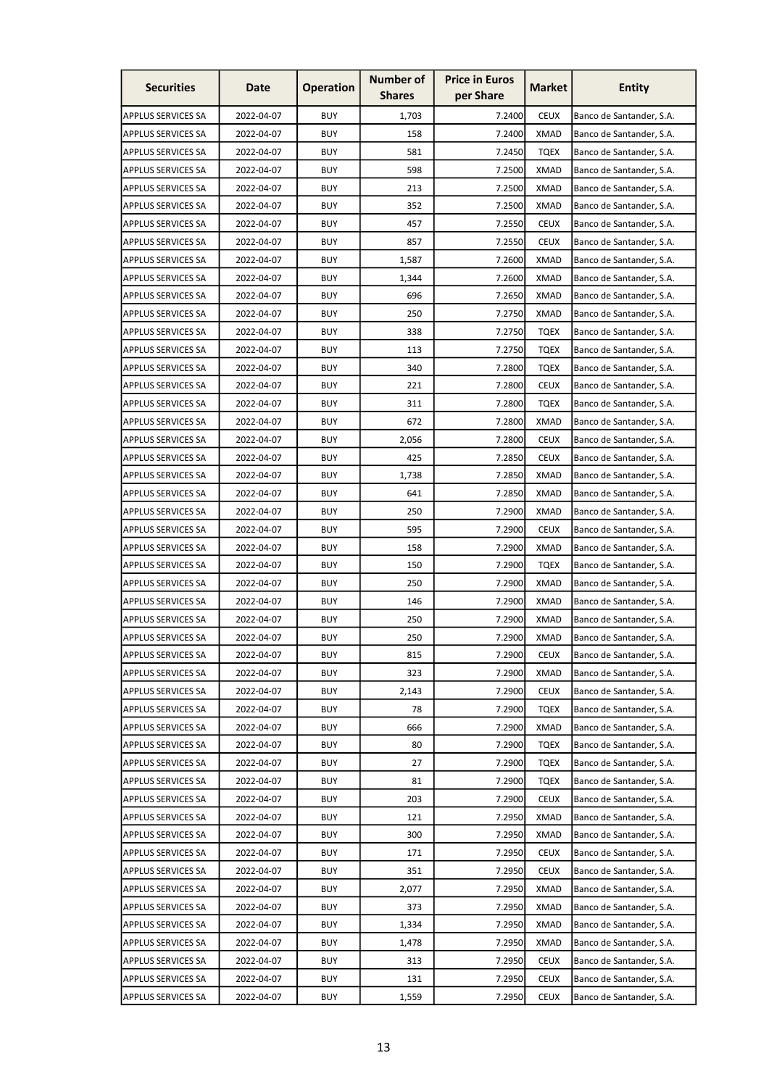| <b>Securities</b>         | Date       | <b>Operation</b> | <b>Number of</b><br><b>Shares</b> | <b>Price in Euros</b><br>per Share | <b>Market</b> | <b>Entity</b>            |
|---------------------------|------------|------------------|-----------------------------------|------------------------------------|---------------|--------------------------|
| <b>APPLUS SERVICES SA</b> | 2022-04-07 | <b>BUY</b>       | 1,703                             | 7.2400                             | <b>CEUX</b>   | Banco de Santander, S.A. |
| <b>APPLUS SERVICES SA</b> | 2022-04-07 | <b>BUY</b>       | 158                               | 7.2400                             | <b>XMAD</b>   | Banco de Santander, S.A. |
| <b>APPLUS SERVICES SA</b> | 2022-04-07 | <b>BUY</b>       | 581                               | 7.2450                             | <b>TOEX</b>   | Banco de Santander, S.A. |
| <b>APPLUS SERVICES SA</b> | 2022-04-07 | <b>BUY</b>       | 598                               | 7.2500                             | <b>XMAD</b>   | Banco de Santander, S.A. |
| <b>APPLUS SERVICES SA</b> | 2022-04-07 | <b>BUY</b>       | 213                               | 7.2500                             | <b>XMAD</b>   | Banco de Santander, S.A. |
| <b>APPLUS SERVICES SA</b> | 2022-04-07 | <b>BUY</b>       | 352                               | 7.2500                             | <b>XMAD</b>   | Banco de Santander, S.A. |
| <b>APPLUS SERVICES SA</b> | 2022-04-07 | <b>BUY</b>       | 457                               | 7.2550                             | <b>CEUX</b>   | Banco de Santander, S.A. |
| <b>APPLUS SERVICES SA</b> | 2022-04-07 | <b>BUY</b>       | 857                               | 7.2550                             | <b>CEUX</b>   | Banco de Santander, S.A. |
| <b>APPLUS SERVICES SA</b> | 2022-04-07 | <b>BUY</b>       | 1,587                             | 7.2600                             | <b>XMAD</b>   | Banco de Santander, S.A. |
| <b>APPLUS SERVICES SA</b> | 2022-04-07 | <b>BUY</b>       | 1,344                             | 7.2600                             | <b>XMAD</b>   | Banco de Santander, S.A. |
| <b>APPLUS SERVICES SA</b> | 2022-04-07 | <b>BUY</b>       | 696                               | 7.2650                             | <b>XMAD</b>   | Banco de Santander, S.A. |
| <b>APPLUS SERVICES SA</b> | 2022-04-07 | <b>BUY</b>       | 250                               | 7.2750                             | XMAD          | Banco de Santander, S.A. |
| <b>APPLUS SERVICES SA</b> | 2022-04-07 | <b>BUY</b>       | 338                               | 7.2750                             | <b>TQEX</b>   | Banco de Santander, S.A. |
| <b>APPLUS SERVICES SA</b> | 2022-04-07 | <b>BUY</b>       | 113                               | 7.2750                             | TQEX          | Banco de Santander, S.A. |
| <b>APPLUS SERVICES SA</b> | 2022-04-07 | <b>BUY</b>       | 340                               | 7.2800                             | <b>TQEX</b>   | Banco de Santander, S.A. |
| <b>APPLUS SERVICES SA</b> | 2022-04-07 | <b>BUY</b>       | 221                               | 7.2800                             | <b>CEUX</b>   | Banco de Santander, S.A. |
| <b>APPLUS SERVICES SA</b> | 2022-04-07 | <b>BUY</b>       | 311                               | 7.2800                             | <b>TQEX</b>   | Banco de Santander, S.A. |
| <b>APPLUS SERVICES SA</b> | 2022-04-07 | <b>BUY</b>       | 672                               | 7.2800                             | <b>XMAD</b>   | Banco de Santander, S.A. |
| <b>APPLUS SERVICES SA</b> | 2022-04-07 | <b>BUY</b>       | 2,056                             | 7.2800                             | <b>CEUX</b>   | Banco de Santander, S.A. |
| <b>APPLUS SERVICES SA</b> | 2022-04-07 | <b>BUY</b>       | 425                               | 7.2850                             | <b>CEUX</b>   | Banco de Santander, S.A. |
| <b>APPLUS SERVICES SA</b> | 2022-04-07 | <b>BUY</b>       | 1,738                             | 7.2850                             | <b>XMAD</b>   | Banco de Santander, S.A. |
| <b>APPLUS SERVICES SA</b> | 2022-04-07 | <b>BUY</b>       | 641                               | 7.2850                             | <b>XMAD</b>   | Banco de Santander, S.A. |
| <b>APPLUS SERVICES SA</b> | 2022-04-07 | <b>BUY</b>       | 250                               | 7.2900                             | <b>XMAD</b>   | Banco de Santander, S.A. |
| <b>APPLUS SERVICES SA</b> | 2022-04-07 | <b>BUY</b>       | 595                               | 7.2900                             | <b>CEUX</b>   | Banco de Santander, S.A. |
| <b>APPLUS SERVICES SA</b> | 2022-04-07 | <b>BUY</b>       | 158                               | 7.2900                             | <b>XMAD</b>   | Banco de Santander, S.A. |
| <b>APPLUS SERVICES SA</b> | 2022-04-07 | <b>BUY</b>       | 150                               | 7.2900                             | <b>TQEX</b>   | Banco de Santander, S.A. |
| <b>APPLUS SERVICES SA</b> | 2022-04-07 | <b>BUY</b>       | 250                               | 7.2900                             | <b>XMAD</b>   | Banco de Santander, S.A. |
| <b>APPLUS SERVICES SA</b> | 2022-04-07 | <b>BUY</b>       | 146                               | 7.2900                             | <b>XMAD</b>   | Banco de Santander, S.A. |
| APPLUS SERVICES SA        | 2022-04-07 | <b>BUY</b>       | 250                               | 7.2900                             | <b>XMAD</b>   | Banco de Santander, S.A. |
| <b>APPLUS SERVICES SA</b> | 2022-04-07 | <b>BUY</b>       | 250                               | 7.2900                             | <b>XMAD</b>   | Banco de Santander, S.A. |
| <b>APPLUS SERVICES SA</b> | 2022-04-07 | <b>BUY</b>       | 815                               | 7.2900                             | <b>CEUX</b>   | Banco de Santander, S.A. |
| <b>APPLUS SERVICES SA</b> | 2022-04-07 | <b>BUY</b>       | 323                               | 7.2900                             | XMAD          | Banco de Santander, S.A. |
| <b>APPLUS SERVICES SA</b> | 2022-04-07 | <b>BUY</b>       | 2,143                             | 7.2900                             | <b>CEUX</b>   | Banco de Santander, S.A. |
| <b>APPLUS SERVICES SA</b> | 2022-04-07 | <b>BUY</b>       | 78                                | 7.2900                             | <b>TQEX</b>   | Banco de Santander, S.A. |
| <b>APPLUS SERVICES SA</b> | 2022-04-07 | <b>BUY</b>       | 666                               | 7.2900                             | <b>XMAD</b>   | Banco de Santander, S.A. |
| <b>APPLUS SERVICES SA</b> | 2022-04-07 | <b>BUY</b>       | 80                                | 7.2900                             | <b>TQEX</b>   | Banco de Santander, S.A. |
| <b>APPLUS SERVICES SA</b> | 2022-04-07 | <b>BUY</b>       | 27                                | 7.2900                             | <b>TQEX</b>   | Banco de Santander, S.A. |
| <b>APPLUS SERVICES SA</b> | 2022-04-07 | <b>BUY</b>       | 81                                | 7.2900                             | <b>TQEX</b>   | Banco de Santander, S.A. |
| <b>APPLUS SERVICES SA</b> | 2022-04-07 | <b>BUY</b>       | 203                               | 7.2900                             | <b>CEUX</b>   | Banco de Santander, S.A. |
| <b>APPLUS SERVICES SA</b> | 2022-04-07 | <b>BUY</b>       | 121                               | 7.2950                             | <b>XMAD</b>   | Banco de Santander, S.A. |
| <b>APPLUS SERVICES SA</b> | 2022-04-07 | <b>BUY</b>       | 300                               | 7.2950                             | <b>XMAD</b>   | Banco de Santander, S.A. |
| <b>APPLUS SERVICES SA</b> | 2022-04-07 | <b>BUY</b>       | 171                               | 7.2950                             | <b>CEUX</b>   | Banco de Santander, S.A. |
| <b>APPLUS SERVICES SA</b> | 2022-04-07 | <b>BUY</b>       | 351                               | 7.2950                             | <b>CEUX</b>   | Banco de Santander, S.A. |
| <b>APPLUS SERVICES SA</b> | 2022-04-07 | <b>BUY</b>       | 2,077                             | 7.2950                             | <b>XMAD</b>   | Banco de Santander, S.A. |
| <b>APPLUS SERVICES SA</b> | 2022-04-07 | <b>BUY</b>       | 373                               | 7.2950                             | <b>XMAD</b>   | Banco de Santander, S.A. |
| <b>APPLUS SERVICES SA</b> | 2022-04-07 | <b>BUY</b>       | 1,334                             | 7.2950                             | <b>XMAD</b>   | Banco de Santander, S.A. |
| <b>APPLUS SERVICES SA</b> | 2022-04-07 | <b>BUY</b>       | 1,478                             | 7.2950                             | <b>XMAD</b>   | Banco de Santander, S.A. |
| APPLUS SERVICES SA        | 2022-04-07 | <b>BUY</b>       | 313                               | 7.2950                             | <b>CEUX</b>   | Banco de Santander, S.A. |
| APPLUS SERVICES SA        | 2022-04-07 | <b>BUY</b>       | 131                               | 7.2950                             | <b>CEUX</b>   | Banco de Santander, S.A. |
| <b>APPLUS SERVICES SA</b> | 2022-04-07 | <b>BUY</b>       | 1,559                             | 7.2950                             | <b>CEUX</b>   | Banco de Santander, S.A. |
|                           |            |                  |                                   |                                    |               |                          |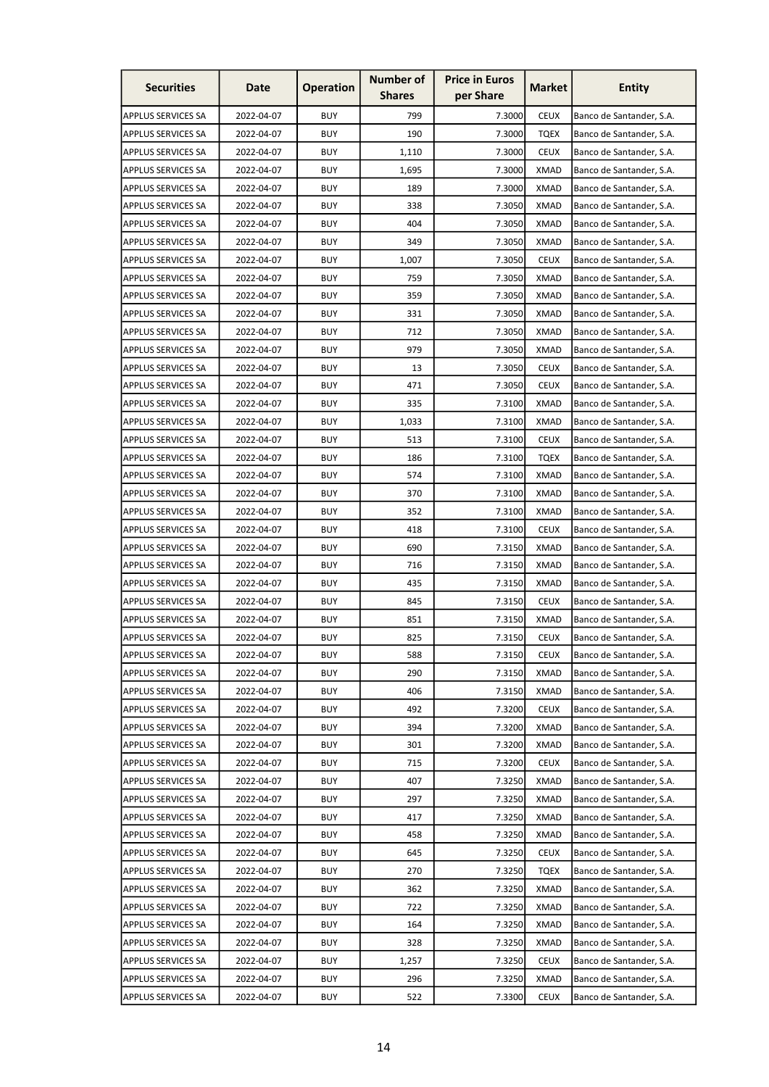| <b>Securities</b>         | Date       | <b>Operation</b> | <b>Number of</b><br><b>Shares</b> | <b>Price in Euros</b><br>per Share | <b>Market</b> | <b>Entity</b>            |
|---------------------------|------------|------------------|-----------------------------------|------------------------------------|---------------|--------------------------|
| <b>APPLUS SERVICES SA</b> | 2022-04-07 | <b>BUY</b>       | 799                               | 7.3000                             | <b>CEUX</b>   | Banco de Santander, S.A. |
| <b>APPLUS SERVICES SA</b> | 2022-04-07 | <b>BUY</b>       | 190                               | 7.3000                             | <b>TQEX</b>   | Banco de Santander, S.A. |
| <b>APPLUS SERVICES SA</b> | 2022-04-07 | <b>BUY</b>       | 1,110                             | 7.3000                             | <b>CEUX</b>   | Banco de Santander, S.A. |
| APPLUS SERVICES SA        | 2022-04-07 | <b>BUY</b>       | 1,695                             | 7.3000                             | <b>XMAD</b>   | Banco de Santander, S.A. |
| <b>APPLUS SERVICES SA</b> | 2022-04-07 | <b>BUY</b>       | 189                               | 7.3000                             | <b>XMAD</b>   | Banco de Santander, S.A. |
| <b>APPLUS SERVICES SA</b> | 2022-04-07 | <b>BUY</b>       | 338                               | 7.3050                             | <b>XMAD</b>   | Banco de Santander, S.A. |
| <b>APPLUS SERVICES SA</b> | 2022-04-07 | <b>BUY</b>       | 404                               | 7.3050                             | XMAD          | Banco de Santander, S.A. |
| <b>APPLUS SERVICES SA</b> | 2022-04-07 | <b>BUY</b>       | 349                               | 7.3050                             | <b>XMAD</b>   | Banco de Santander, S.A. |
| <b>APPLUS SERVICES SA</b> | 2022-04-07 | <b>BUY</b>       | 1,007                             | 7.3050                             | <b>CEUX</b>   | Banco de Santander, S.A. |
| <b>APPLUS SERVICES SA</b> | 2022-04-07 | <b>BUY</b>       | 759                               | 7.3050                             | <b>XMAD</b>   | Banco de Santander, S.A. |
| <b>APPLUS SERVICES SA</b> | 2022-04-07 | <b>BUY</b>       | 359                               | 7.3050                             | <b>XMAD</b>   | Banco de Santander, S.A. |
| <b>APPLUS SERVICES SA</b> | 2022-04-07 | <b>BUY</b>       | 331                               | 7.3050                             | <b>XMAD</b>   | Banco de Santander, S.A. |
| <b>APPLUS SERVICES SA</b> | 2022-04-07 | <b>BUY</b>       | 712                               | 7.3050                             | <b>XMAD</b>   | Banco de Santander, S.A. |
| <b>APPLUS SERVICES SA</b> | 2022-04-07 | <b>BUY</b>       | 979                               | 7.3050                             | XMAD          | Banco de Santander, S.A. |
| <b>APPLUS SERVICES SA</b> | 2022-04-07 | <b>BUY</b>       | 13                                | 7.3050                             | <b>CEUX</b>   | Banco de Santander, S.A. |
| <b>APPLUS SERVICES SA</b> | 2022-04-07 | <b>BUY</b>       | 471                               | 7.3050                             | <b>CEUX</b>   | Banco de Santander, S.A. |
| <b>APPLUS SERVICES SA</b> | 2022-04-07 | <b>BUY</b>       | 335                               | 7.3100                             | <b>XMAD</b>   | Banco de Santander, S.A. |
| <b>APPLUS SERVICES SA</b> | 2022-04-07 | <b>BUY</b>       | 1,033                             | 7.3100                             | <b>XMAD</b>   | Banco de Santander, S.A. |
| <b>APPLUS SERVICES SA</b> | 2022-04-07 | <b>BUY</b>       | 513                               | 7.3100                             | <b>CEUX</b>   | Banco de Santander, S.A. |
| <b>APPLUS SERVICES SA</b> | 2022-04-07 | <b>BUY</b>       | 186                               | 7.3100                             | <b>TQEX</b>   | Banco de Santander, S.A. |
| <b>APPLUS SERVICES SA</b> | 2022-04-07 | <b>BUY</b>       | 574                               | 7.3100                             | <b>XMAD</b>   | Banco de Santander, S.A. |
| <b>APPLUS SERVICES SA</b> | 2022-04-07 | <b>BUY</b>       | 370                               | 7.3100                             | <b>XMAD</b>   | Banco de Santander, S.A. |
| <b>APPLUS SERVICES SA</b> | 2022-04-07 | <b>BUY</b>       | 352                               | 7.3100                             | <b>XMAD</b>   | Banco de Santander, S.A. |
| <b>APPLUS SERVICES SA</b> | 2022-04-07 | <b>BUY</b>       | 418                               | 7.3100                             | <b>CEUX</b>   | Banco de Santander, S.A. |
| <b>APPLUS SERVICES SA</b> | 2022-04-07 | <b>BUY</b>       | 690                               | 7.3150                             | <b>XMAD</b>   | Banco de Santander, S.A. |
| <b>APPLUS SERVICES SA</b> | 2022-04-07 | <b>BUY</b>       | 716                               | 7.3150                             | XMAD          | Banco de Santander, S.A. |
| <b>APPLUS SERVICES SA</b> | 2022-04-07 | <b>BUY</b>       | 435                               | 7.3150                             | <b>XMAD</b>   | Banco de Santander, S.A. |
| <b>APPLUS SERVICES SA</b> | 2022-04-07 | <b>BUY</b>       | 845                               | 7.3150                             | <b>CEUX</b>   | Banco de Santander, S.A. |
| APPLUS SERVICES SA        | 2022-04-07 | <b>BUY</b>       | 851                               | 7.3150                             | <b>XMAD</b>   | Banco de Santander, S.A. |
| <b>APPLUS SERVICES SA</b> | 2022-04-07 | <b>BUY</b>       | 825                               | 7.3150                             | <b>CEUX</b>   | Banco de Santander, S.A. |
| <b>APPLUS SERVICES SA</b> | 2022-04-07 | <b>BUY</b>       | 588                               | 7.3150                             | <b>CEUX</b>   | Banco de Santander, S.A. |
| <b>APPLUS SERVICES SA</b> | 2022-04-07 | <b>BUY</b>       | 290                               | 7.3150                             | <b>XMAD</b>   | Banco de Santander, S.A. |
| <b>APPLUS SERVICES SA</b> | 2022-04-07 | <b>BUY</b>       | 406                               | 7.3150                             | <b>XMAD</b>   | Banco de Santander, S.A. |
| <b>APPLUS SERVICES SA</b> | 2022-04-07 | <b>BUY</b>       | 492                               | 7.3200                             | <b>CEUX</b>   | Banco de Santander, S.A. |
| <b>APPLUS SERVICES SA</b> | 2022-04-07 | <b>BUY</b>       | 394                               | 7.3200                             | <b>XMAD</b>   | Banco de Santander, S.A. |
| <b>APPLUS SERVICES SA</b> | 2022-04-07 | <b>BUY</b>       | 301                               | 7.3200                             | <b>XMAD</b>   | Banco de Santander, S.A. |
| <b>APPLUS SERVICES SA</b> | 2022-04-07 | <b>BUY</b>       | 715                               | 7.3200                             | <b>CEUX</b>   | Banco de Santander, S.A. |
| <b>APPLUS SERVICES SA</b> | 2022-04-07 | <b>BUY</b>       | 407                               | 7.3250                             | <b>XMAD</b>   | Banco de Santander, S.A. |
| <b>APPLUS SERVICES SA</b> | 2022-04-07 | <b>BUY</b>       | 297                               | 7.3250                             | <b>XMAD</b>   | Banco de Santander, S.A. |
| <b>APPLUS SERVICES SA</b> | 2022-04-07 | <b>BUY</b>       | 417                               | 7.3250                             | <b>XMAD</b>   | Banco de Santander, S.A. |
| <b>APPLUS SERVICES SA</b> | 2022-04-07 | <b>BUY</b>       | 458                               | 7.3250                             | <b>XMAD</b>   | Banco de Santander, S.A. |
| <b>APPLUS SERVICES SA</b> | 2022-04-07 | <b>BUY</b>       | 645                               | 7.3250                             | <b>CEUX</b>   | Banco de Santander, S.A. |
| <b>APPLUS SERVICES SA</b> | 2022-04-07 | <b>BUY</b>       | 270                               | 7.3250                             | <b>TQEX</b>   | Banco de Santander, S.A. |
| <b>APPLUS SERVICES SA</b> | 2022-04-07 | <b>BUY</b>       | 362                               | 7.3250                             | <b>XMAD</b>   | Banco de Santander, S.A. |
| <b>APPLUS SERVICES SA</b> | 2022-04-07 | <b>BUY</b>       | 722                               | 7.3250                             | <b>XMAD</b>   | Banco de Santander, S.A. |
| <b>APPLUS SERVICES SA</b> | 2022-04-07 | <b>BUY</b>       | 164                               | 7.3250                             | <b>XMAD</b>   | Banco de Santander, S.A. |
| <b>APPLUS SERVICES SA</b> | 2022-04-07 | <b>BUY</b>       | 328                               | 7.3250                             | <b>XMAD</b>   | Banco de Santander, S.A. |
| APPLUS SERVICES SA        | 2022-04-07 | <b>BUY</b>       | 1,257                             | 7.3250                             | <b>CEUX</b>   | Banco de Santander, S.A. |
| <b>APPLUS SERVICES SA</b> | 2022-04-07 | <b>BUY</b>       | 296                               | 7.3250                             | <b>XMAD</b>   | Banco de Santander, S.A. |
| <b>APPLUS SERVICES SA</b> | 2022-04-07 | <b>BUY</b>       | 522                               | 7.3300                             | <b>CEUX</b>   | Banco de Santander, S.A. |
|                           |            |                  |                                   |                                    |               |                          |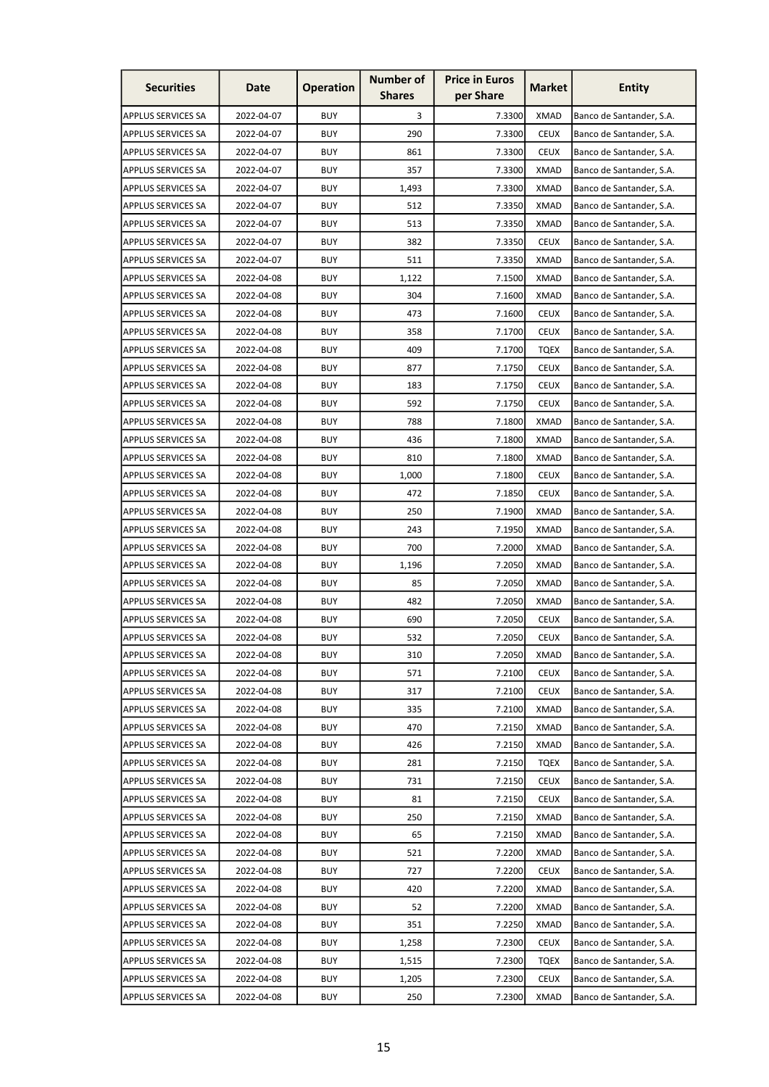| <b>Securities</b>         | Date       | <b>Operation</b> | <b>Number of</b><br><b>Shares</b> | <b>Price in Euros</b><br>per Share | Market      | <b>Entity</b>            |
|---------------------------|------------|------------------|-----------------------------------|------------------------------------|-------------|--------------------------|
| APPLUS SERVICES SA        | 2022-04-07 | <b>BUY</b>       | 3                                 | 7.3300                             | <b>XMAD</b> | Banco de Santander, S.A. |
| <b>APPLUS SERVICES SA</b> | 2022-04-07 | <b>BUY</b>       | 290                               | 7.3300                             | <b>CEUX</b> | Banco de Santander, S.A. |
| <b>APPLUS SERVICES SA</b> | 2022-04-07 | <b>BUY</b>       | 861                               | 7.3300                             | <b>CEUX</b> | Banco de Santander, S.A. |
| <b>APPLUS SERVICES SA</b> | 2022-04-07 | <b>BUY</b>       | 357                               | 7.3300                             | <b>XMAD</b> | Banco de Santander, S.A. |
| <b>APPLUS SERVICES SA</b> | 2022-04-07 | <b>BUY</b>       | 1,493                             | 7.3300                             | <b>XMAD</b> | Banco de Santander, S.A. |
| <b>APPLUS SERVICES SA</b> | 2022-04-07 | <b>BUY</b>       | 512                               | 7.3350                             | XMAD        | Banco de Santander, S.A. |
| <b>APPLUS SERVICES SA</b> | 2022-04-07 | <b>BUY</b>       | 513                               | 7.3350                             | XMAD        | Banco de Santander, S.A. |
| <b>APPLUS SERVICES SA</b> | 2022-04-07 | <b>BUY</b>       | 382                               | 7.3350                             | <b>CEUX</b> | Banco de Santander, S.A. |
| <b>APPLUS SERVICES SA</b> | 2022-04-07 | <b>BUY</b>       | 511                               | 7.3350                             | <b>XMAD</b> | Banco de Santander, S.A. |
| APPLUS SERVICES SA        | 2022-04-08 | <b>BUY</b>       | 1,122                             | 7.1500                             | <b>XMAD</b> | Banco de Santander, S.A. |
| <b>APPLUS SERVICES SA</b> | 2022-04-08 | <b>BUY</b>       | 304                               | 7.1600                             | <b>XMAD</b> | Banco de Santander, S.A. |
| <b>APPLUS SERVICES SA</b> | 2022-04-08 | <b>BUY</b>       | 473                               | 7.1600                             | <b>CEUX</b> | Banco de Santander, S.A. |
| <b>APPLUS SERVICES SA</b> | 2022-04-08 | <b>BUY</b>       | 358                               | 7.1700                             | <b>CEUX</b> | Banco de Santander, S.A. |
| <b>APPLUS SERVICES SA</b> | 2022-04-08 | <b>BUY</b>       | 409                               | 7.1700                             | <b>TQEX</b> | Banco de Santander, S.A. |
| <b>APPLUS SERVICES SA</b> | 2022-04-08 | <b>BUY</b>       | 877                               | 7.1750                             | <b>CEUX</b> | Banco de Santander, S.A. |
| <b>APPLUS SERVICES SA</b> | 2022-04-08 | <b>BUY</b>       | 183                               | 7.1750                             | <b>CEUX</b> | Banco de Santander, S.A. |
| <b>APPLUS SERVICES SA</b> | 2022-04-08 | <b>BUY</b>       | 592                               | 7.1750                             | <b>CEUX</b> | Banco de Santander, S.A. |
| <b>APPLUS SERVICES SA</b> | 2022-04-08 | <b>BUY</b>       | 788                               | 7.1800                             | <b>XMAD</b> | Banco de Santander, S.A. |
| <b>APPLUS SERVICES SA</b> | 2022-04-08 | <b>BUY</b>       | 436                               | 7.1800                             | XMAD        | Banco de Santander, S.A. |
| <b>APPLUS SERVICES SA</b> | 2022-04-08 | <b>BUY</b>       | 810                               | 7.1800                             | XMAD        | Banco de Santander, S.A. |
| <b>APPLUS SERVICES SA</b> | 2022-04-08 | <b>BUY</b>       | 1,000                             | 7.1800                             | <b>CEUX</b> | Banco de Santander, S.A. |
| APPLUS SERVICES SA        | 2022-04-08 | <b>BUY</b>       | 472                               | 7.1850                             | <b>CEUX</b> | Banco de Santander, S.A. |
| <b>APPLUS SERVICES SA</b> | 2022-04-08 | <b>BUY</b>       | 250                               | 7.1900                             | <b>XMAD</b> | Banco de Santander, S.A. |
| <b>APPLUS SERVICES SA</b> | 2022-04-08 | <b>BUY</b>       | 243                               | 7.1950                             | <b>XMAD</b> | Banco de Santander, S.A. |
| <b>APPLUS SERVICES SA</b> | 2022-04-08 | <b>BUY</b>       | 700                               | 7.2000                             | <b>XMAD</b> | Banco de Santander, S.A. |
| <b>APPLUS SERVICES SA</b> | 2022-04-08 | <b>BUY</b>       | 1,196                             | 7.2050                             | XMAD        | Banco de Santander, S.A. |
| <b>APPLUS SERVICES SA</b> | 2022-04-08 | <b>BUY</b>       | 85                                | 7.2050                             | <b>XMAD</b> | Banco de Santander, S.A. |
| <b>APPLUS SERVICES SA</b> | 2022-04-08 | <b>BUY</b>       | 482                               | 7.2050                             | <b>XMAD</b> | Banco de Santander, S.A. |
| <b>APPLUS SERVICES SA</b> | 2022-04-08 | <b>BUY</b>       | 690                               | 7.2050                             | <b>CEUX</b> | Banco de Santander, S.A. |
| <b>APPLUS SERVICES SA</b> | 2022-04-08 | <b>BUY</b>       | 532                               | 7.2050                             | <b>CEUX</b> | Banco de Santander, S.A. |
| <b>APPLUS SERVICES SA</b> | 2022-04-08 | <b>BUY</b>       | 310                               | 7.2050                             | <b>XMAD</b> | Banco de Santander, S.A. |
| <b>APPLUS SERVICES SA</b> | 2022-04-08 | <b>BUY</b>       | 571                               | 7.2100                             | <b>CEUX</b> | Banco de Santander, S.A. |
| <b>APPLUS SERVICES SA</b> | 2022-04-08 | <b>BUY</b>       | 317                               | 7.2100                             | <b>CEUX</b> | Banco de Santander, S.A. |
| <b>APPLUS SERVICES SA</b> | 2022-04-08 | <b>BUY</b>       | 335                               | 7.2100                             | <b>XMAD</b> | Banco de Santander, S.A. |
| <b>APPLUS SERVICES SA</b> | 2022-04-08 | <b>BUY</b>       | 470                               | 7.2150                             | <b>XMAD</b> | Banco de Santander, S.A. |
| <b>APPLUS SERVICES SA</b> | 2022-04-08 | <b>BUY</b>       | 426                               | 7.2150                             | <b>XMAD</b> | Banco de Santander, S.A. |
| <b>APPLUS SERVICES SA</b> | 2022-04-08 | <b>BUY</b>       | 281                               | 7.2150                             | <b>TQEX</b> | Banco de Santander, S.A. |
| <b>APPLUS SERVICES SA</b> | 2022-04-08 | <b>BUY</b>       | 731                               | 7.2150                             | <b>CEUX</b> | Banco de Santander, S.A. |
| <b>APPLUS SERVICES SA</b> | 2022-04-08 | <b>BUY</b>       | 81                                | 7.2150                             | <b>CEUX</b> | Banco de Santander, S.A. |
| <b>APPLUS SERVICES SA</b> | 2022-04-08 | <b>BUY</b>       | 250                               | 7.2150                             | <b>XMAD</b> | Banco de Santander, S.A. |
| <b>APPLUS SERVICES SA</b> | 2022-04-08 | <b>BUY</b>       | 65                                | 7.2150                             | <b>XMAD</b> | Banco de Santander, S.A. |
| <b>APPLUS SERVICES SA</b> | 2022-04-08 | <b>BUY</b>       | 521                               | 7.2200                             | <b>XMAD</b> | Banco de Santander, S.A. |
| <b>APPLUS SERVICES SA</b> | 2022-04-08 | <b>BUY</b>       | 727                               | 7.2200                             | <b>CEUX</b> | Banco de Santander, S.A. |
| <b>APPLUS SERVICES SA</b> | 2022-04-08 | <b>BUY</b>       | 420                               | 7.2200                             | <b>XMAD</b> | Banco de Santander, S.A. |
| <b>APPLUS SERVICES SA</b> | 2022-04-08 | <b>BUY</b>       | 52                                | 7.2200                             | <b>XMAD</b> | Banco de Santander, S.A. |
| <b>APPLUS SERVICES SA</b> | 2022-04-08 | <b>BUY</b>       | 351                               | 7.2250                             | <b>XMAD</b> | Banco de Santander, S.A. |
| <b>APPLUS SERVICES SA</b> | 2022-04-08 | <b>BUY</b>       | 1,258                             | 7.2300                             | <b>CEUX</b> | Banco de Santander, S.A. |
| <b>APPLUS SERVICES SA</b> | 2022-04-08 | <b>BUY</b>       | 1,515                             | 7.2300                             | <b>TQEX</b> | Banco de Santander, S.A. |
| <b>APPLUS SERVICES SA</b> | 2022-04-08 | <b>BUY</b>       | 1,205                             | 7.2300                             | <b>CEUX</b> | Banco de Santander, S.A. |
| APPLUS SERVICES SA        | 2022-04-08 | <b>BUY</b>       | 250                               | 7.2300                             | <b>XMAD</b> | Banco de Santander, S.A. |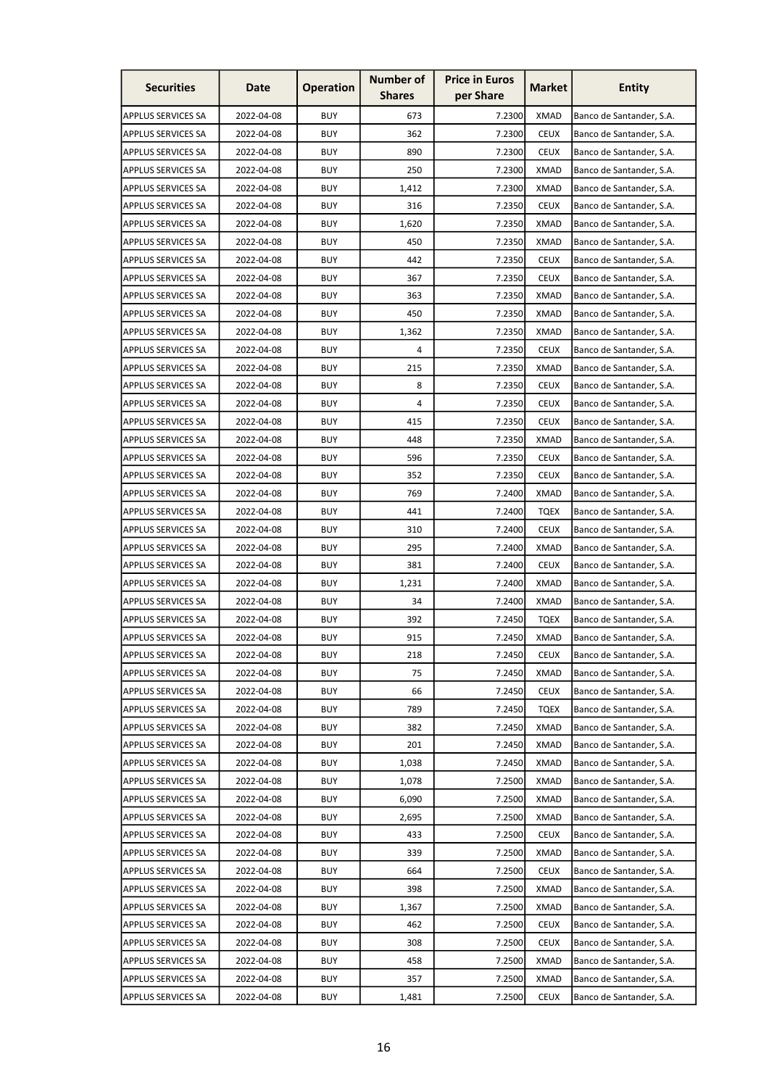| <b>Securities</b>         | Date       | <b>Operation</b> | <b>Number of</b><br><b>Shares</b> | <b>Price in Euros</b><br>per Share | <b>Market</b> | <b>Entity</b>            |
|---------------------------|------------|------------------|-----------------------------------|------------------------------------|---------------|--------------------------|
| <b>APPLUS SERVICES SA</b> | 2022-04-08 | <b>BUY</b>       | 673                               | 7.2300                             | <b>XMAD</b>   | Banco de Santander, S.A. |
| <b>APPLUS SERVICES SA</b> | 2022-04-08 | <b>BUY</b>       | 362                               | 7.2300                             | <b>CEUX</b>   | Banco de Santander, S.A. |
| <b>APPLUS SERVICES SA</b> | 2022-04-08 | <b>BUY</b>       | 890                               | 7.2300                             | <b>CEUX</b>   | Banco de Santander, S.A. |
| <b>APPLUS SERVICES SA</b> | 2022-04-08 | <b>BUY</b>       | 250                               | 7.2300                             | <b>XMAD</b>   | Banco de Santander, S.A. |
| <b>APPLUS SERVICES SA</b> | 2022-04-08 | <b>BUY</b>       | 1,412                             | 7.2300                             | <b>XMAD</b>   | Banco de Santander, S.A. |
| <b>APPLUS SERVICES SA</b> | 2022-04-08 | <b>BUY</b>       | 316                               | 7.2350                             | <b>CEUX</b>   | Banco de Santander, S.A. |
| <b>APPLUS SERVICES SA</b> | 2022-04-08 | <b>BUY</b>       | 1,620                             | 7.2350                             | XMAD          | Banco de Santander, S.A. |
| <b>APPLUS SERVICES SA</b> | 2022-04-08 | <b>BUY</b>       | 450                               | 7.2350                             | <b>XMAD</b>   | Banco de Santander, S.A. |
| <b>APPLUS SERVICES SA</b> | 2022-04-08 | <b>BUY</b>       | 442                               | 7.2350                             | <b>CEUX</b>   | Banco de Santander, S.A. |
| <b>APPLUS SERVICES SA</b> | 2022-04-08 | <b>BUY</b>       | 367                               | 7.2350                             | <b>CEUX</b>   | Banco de Santander, S.A. |
| <b>APPLUS SERVICES SA</b> | 2022-04-08 | <b>BUY</b>       | 363                               | 7.2350                             | <b>XMAD</b>   | Banco de Santander, S.A. |
| <b>APPLUS SERVICES SA</b> | 2022-04-08 | <b>BUY</b>       | 450                               | 7.2350                             | <b>XMAD</b>   | Banco de Santander, S.A. |
| <b>APPLUS SERVICES SA</b> | 2022-04-08 | <b>BUY</b>       | 1,362                             | 7.2350                             | <b>XMAD</b>   | Banco de Santander, S.A. |
| <b>APPLUS SERVICES SA</b> | 2022-04-08 | <b>BUY</b>       | 4                                 | 7.2350                             | <b>CEUX</b>   | Banco de Santander, S.A. |
| <b>APPLUS SERVICES SA</b> | 2022-04-08 | <b>BUY</b>       | 215                               | 7.2350                             | <b>XMAD</b>   | Banco de Santander, S.A. |
| APPLUS SERVICES SA        | 2022-04-08 | <b>BUY</b>       | 8                                 | 7.2350                             | <b>CEUX</b>   | Banco de Santander, S.A. |
| <b>APPLUS SERVICES SA</b> | 2022-04-08 | <b>BUY</b>       | 4                                 | 7.2350                             | <b>CEUX</b>   | Banco de Santander, S.A. |
| <b>APPLUS SERVICES SA</b> | 2022-04-08 | <b>BUY</b>       | 415                               | 7.2350                             | <b>CEUX</b>   | Banco de Santander, S.A. |
| <b>APPLUS SERVICES SA</b> | 2022-04-08 | <b>BUY</b>       | 448                               | 7.2350                             | <b>XMAD</b>   | Banco de Santander, S.A. |
| <b>APPLUS SERVICES SA</b> | 2022-04-08 | <b>BUY</b>       | 596                               | 7.2350                             | <b>CEUX</b>   | Banco de Santander, S.A. |
| <b>APPLUS SERVICES SA</b> | 2022-04-08 | <b>BUY</b>       | 352                               | 7.2350                             | <b>CEUX</b>   | Banco de Santander, S.A. |
| <b>APPLUS SERVICES SA</b> | 2022-04-08 | <b>BUY</b>       | 769                               | 7.2400                             | <b>XMAD</b>   | Banco de Santander, S.A. |
| <b>APPLUS SERVICES SA</b> | 2022-04-08 | <b>BUY</b>       | 441                               | 7.2400                             | <b>TQEX</b>   | Banco de Santander, S.A. |
| <b>APPLUS SERVICES SA</b> | 2022-04-08 | <b>BUY</b>       | 310                               | 7.2400                             | <b>CEUX</b>   | Banco de Santander, S.A. |
| <b>APPLUS SERVICES SA</b> | 2022-04-08 | <b>BUY</b>       | 295                               | 7.2400                             | <b>XMAD</b>   | Banco de Santander, S.A. |
| <b>APPLUS SERVICES SA</b> | 2022-04-08 | <b>BUY</b>       | 381                               | 7.2400                             | <b>CEUX</b>   | Banco de Santander, S.A. |
| <b>APPLUS SERVICES SA</b> | 2022-04-08 | <b>BUY</b>       | 1,231                             | 7.2400                             | <b>XMAD</b>   | Banco de Santander, S.A. |
| <b>APPLUS SERVICES SA</b> | 2022-04-08 | <b>BUY</b>       | 34                                | 7.2400                             | <b>XMAD</b>   | Banco de Santander, S.A. |
| <b>APPLUS SERVICES SA</b> | 2022-04-08 | <b>BUY</b>       | 392                               | 7.2450                             | <b>TQEX</b>   | Banco de Santander, S.A. |
| <b>APPLUS SERVICES SA</b> | 2022-04-08 | <b>BUY</b>       | 915                               | 7.2450                             | <b>XMAD</b>   | Banco de Santander, S.A. |
| <b>APPLUS SERVICES SA</b> | 2022-04-08 | <b>BUY</b>       | 218                               | 7.2450                             | <b>CEUX</b>   | Banco de Santander, S.A. |
| <b>APPLUS SERVICES SA</b> | 2022-04-08 | <b>BUY</b>       | 75                                | 7.2450                             | <b>XMAD</b>   | Banco de Santander, S.A. |
| <b>APPLUS SERVICES SA</b> | 2022-04-08 | <b>BUY</b>       | 66                                | 7.2450                             | <b>CEUX</b>   | Banco de Santander, S.A. |
| <b>APPLUS SERVICES SA</b> | 2022-04-08 | <b>BUY</b>       | 789                               | 7.2450                             | <b>TQEX</b>   | Banco de Santander, S.A. |
| <b>APPLUS SERVICES SA</b> | 2022-04-08 | <b>BUY</b>       | 382                               | 7.2450                             | <b>XMAD</b>   | Banco de Santander, S.A. |
| <b>APPLUS SERVICES SA</b> | 2022-04-08 | <b>BUY</b>       | 201                               | 7.2450                             | <b>XMAD</b>   | Banco de Santander, S.A. |
| <b>APPLUS SERVICES SA</b> | 2022-04-08 | <b>BUY</b>       | 1,038                             | 7.2450                             | <b>XMAD</b>   | Banco de Santander, S.A. |
| <b>APPLUS SERVICES SA</b> | 2022-04-08 | <b>BUY</b>       | 1,078                             | 7.2500                             | <b>XMAD</b>   | Banco de Santander, S.A. |
| <b>APPLUS SERVICES SA</b> | 2022-04-08 | <b>BUY</b>       | 6,090                             | 7.2500                             | <b>XMAD</b>   | Banco de Santander, S.A. |
| <b>APPLUS SERVICES SA</b> | 2022-04-08 | <b>BUY</b>       | 2,695                             | 7.2500                             | <b>XMAD</b>   | Banco de Santander, S.A. |
| <b>APPLUS SERVICES SA</b> | 2022-04-08 | <b>BUY</b>       | 433                               | 7.2500                             | <b>CEUX</b>   | Banco de Santander, S.A. |
| <b>APPLUS SERVICES SA</b> | 2022-04-08 | <b>BUY</b>       | 339                               | 7.2500                             | <b>XMAD</b>   | Banco de Santander, S.A. |
| <b>APPLUS SERVICES SA</b> | 2022-04-08 | <b>BUY</b>       | 664                               | 7.2500                             | <b>CEUX</b>   | Banco de Santander, S.A. |
| <b>APPLUS SERVICES SA</b> | 2022-04-08 | <b>BUY</b>       | 398                               | 7.2500                             | <b>XMAD</b>   | Banco de Santander, S.A. |
| <b>APPLUS SERVICES SA</b> | 2022-04-08 | <b>BUY</b>       | 1,367                             | 7.2500                             | <b>XMAD</b>   | Banco de Santander, S.A. |
| <b>APPLUS SERVICES SA</b> | 2022-04-08 | <b>BUY</b>       | 462                               | 7.2500                             | <b>CEUX</b>   | Banco de Santander, S.A. |
| <b>APPLUS SERVICES SA</b> | 2022-04-08 | <b>BUY</b>       | 308                               | 7.2500                             | <b>CEUX</b>   | Banco de Santander, S.A. |
| <b>APPLUS SERVICES SA</b> | 2022-04-08 | <b>BUY</b>       | 458                               | 7.2500                             | <b>XMAD</b>   | Banco de Santander, S.A. |
| <b>APPLUS SERVICES SA</b> | 2022-04-08 | <b>BUY</b>       | 357                               | 7.2500                             | <b>XMAD</b>   | Banco de Santander, S.A. |
| <b>APPLUS SERVICES SA</b> | 2022-04-08 | <b>BUY</b>       | 1,481                             | 7.2500                             | <b>CEUX</b>   | Banco de Santander, S.A. |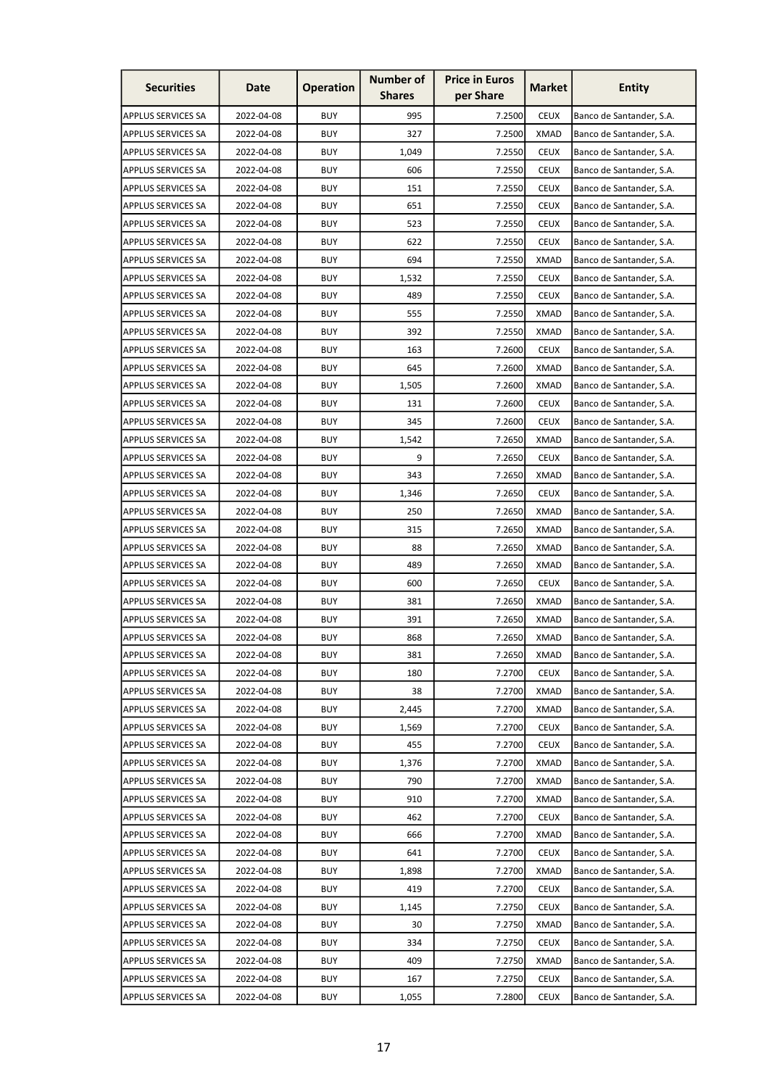| <b>Securities</b>         | Date       | <b>Operation</b> | <b>Number of</b><br><b>Shares</b> | <b>Price in Euros</b><br>per Share | <b>Market</b> | <b>Entity</b>            |
|---------------------------|------------|------------------|-----------------------------------|------------------------------------|---------------|--------------------------|
| <b>APPLUS SERVICES SA</b> | 2022-04-08 | <b>BUY</b>       | 995                               | 7.2500                             | <b>CEUX</b>   | Banco de Santander, S.A. |
| <b>APPLUS SERVICES SA</b> | 2022-04-08 | <b>BUY</b>       | 327                               | 7.2500                             | <b>XMAD</b>   | Banco de Santander, S.A. |
| <b>APPLUS SERVICES SA</b> | 2022-04-08 | <b>BUY</b>       | 1,049                             | 7.2550                             | <b>CEUX</b>   | Banco de Santander, S.A. |
| <b>APPLUS SERVICES SA</b> | 2022-04-08 | <b>BUY</b>       | 606                               | 7.2550                             | <b>CEUX</b>   | Banco de Santander, S.A. |
| <b>APPLUS SERVICES SA</b> | 2022-04-08 | <b>BUY</b>       | 151                               | 7.2550                             | <b>CEUX</b>   | Banco de Santander, S.A. |
| <b>APPLUS SERVICES SA</b> | 2022-04-08 | <b>BUY</b>       | 651                               | 7.2550                             | <b>CEUX</b>   | Banco de Santander, S.A. |
| <b>APPLUS SERVICES SA</b> | 2022-04-08 | <b>BUY</b>       | 523                               | 7.2550                             | <b>CEUX</b>   | Banco de Santander, S.A. |
| <b>APPLUS SERVICES SA</b> | 2022-04-08 | <b>BUY</b>       | 622                               | 7.2550                             | <b>CEUX</b>   | Banco de Santander, S.A. |
| <b>APPLUS SERVICES SA</b> | 2022-04-08 | <b>BUY</b>       | 694                               | 7.2550                             | <b>XMAD</b>   | Banco de Santander, S.A. |
| <b>APPLUS SERVICES SA</b> | 2022-04-08 | <b>BUY</b>       | 1,532                             | 7.2550                             | <b>CEUX</b>   | Banco de Santander, S.A. |
| <b>APPLUS SERVICES SA</b> | 2022-04-08 | <b>BUY</b>       | 489                               | 7.2550                             | <b>CEUX</b>   | Banco de Santander, S.A. |
| <b>APPLUS SERVICES SA</b> | 2022-04-08 | <b>BUY</b>       | 555                               | 7.2550                             | XMAD          | Banco de Santander, S.A. |
| <b>APPLUS SERVICES SA</b> | 2022-04-08 | <b>BUY</b>       | 392                               | 7.2550                             | <b>XMAD</b>   | Banco de Santander, S.A. |
| <b>APPLUS SERVICES SA</b> | 2022-04-08 | <b>BUY</b>       | 163                               | 7.2600                             | <b>CEUX</b>   | Banco de Santander, S.A. |
| <b>APPLUS SERVICES SA</b> | 2022-04-08 | <b>BUY</b>       | 645                               | 7.2600                             | <b>XMAD</b>   | Banco de Santander, S.A. |
| <b>APPLUS SERVICES SA</b> | 2022-04-08 | <b>BUY</b>       | 1,505                             | 7.2600                             | <b>XMAD</b>   | Banco de Santander, S.A. |
| <b>APPLUS SERVICES SA</b> | 2022-04-08 | <b>BUY</b>       | 131                               | 7.2600                             | <b>CEUX</b>   | Banco de Santander, S.A. |
| <b>APPLUS SERVICES SA</b> | 2022-04-08 | <b>BUY</b>       | 345                               | 7.2600                             | <b>CEUX</b>   | Banco de Santander, S.A. |
| <b>APPLUS SERVICES SA</b> | 2022-04-08 | <b>BUY</b>       | 1,542                             | 7.2650                             | <b>XMAD</b>   | Banco de Santander, S.A. |
| <b>APPLUS SERVICES SA</b> | 2022-04-08 | <b>BUY</b>       | 9                                 | 7.2650                             | <b>CEUX</b>   | Banco de Santander, S.A. |
| <b>APPLUS SERVICES SA</b> | 2022-04-08 | <b>BUY</b>       | 343                               | 7.2650                             | <b>XMAD</b>   | Banco de Santander, S.A. |
| <b>APPLUS SERVICES SA</b> | 2022-04-08 | <b>BUY</b>       | 1,346                             | 7.2650                             | <b>CEUX</b>   | Banco de Santander, S.A. |
| <b>APPLUS SERVICES SA</b> | 2022-04-08 | <b>BUY</b>       | 250                               | 7.2650                             | <b>XMAD</b>   | Banco de Santander, S.A. |
| <b>APPLUS SERVICES SA</b> | 2022-04-08 | <b>BUY</b>       | 315                               | 7.2650                             | <b>XMAD</b>   | Banco de Santander, S.A. |
| <b>APPLUS SERVICES SA</b> | 2022-04-08 | <b>BUY</b>       | 88                                | 7.2650                             | <b>XMAD</b>   | Banco de Santander, S.A. |
| <b>APPLUS SERVICES SA</b> | 2022-04-08 | <b>BUY</b>       | 489                               | 7.2650                             | XMAD          | Banco de Santander, S.A. |
| <b>APPLUS SERVICES SA</b> | 2022-04-08 | <b>BUY</b>       | 600                               | 7.2650                             | <b>CEUX</b>   | Banco de Santander, S.A. |
| <b>APPLUS SERVICES SA</b> | 2022-04-08 | <b>BUY</b>       | 381                               | 7.2650                             | <b>XMAD</b>   | Banco de Santander, S.A. |
| APPLUS SERVICES SA        | 2022-04-08 | <b>BUY</b>       | 391                               | 7.2650                             | <b>XMAD</b>   | Banco de Santander, S.A. |
| <b>APPLUS SERVICES SA</b> | 2022-04-08 | <b>BUY</b>       | 868                               | 7.2650                             | <b>XMAD</b>   | Banco de Santander, S.A. |
| <b>APPLUS SERVICES SA</b> | 2022-04-08 | <b>BUY</b>       | 381                               | 7.2650                             | <b>XMAD</b>   | Banco de Santander, S.A. |
| <b>APPLUS SERVICES SA</b> | 2022-04-08 | <b>BUY</b>       | 180                               | 7.2700                             | <b>CEUX</b>   | Banco de Santander, S.A. |
| <b>APPLUS SERVICES SA</b> | 2022-04-08 | <b>BUY</b>       | 38                                | 7.2700                             | <b>XMAD</b>   | Banco de Santander, S.A. |
| <b>APPLUS SERVICES SA</b> | 2022-04-08 | <b>BUY</b>       | 2,445                             | 7.2700                             | <b>XMAD</b>   | Banco de Santander, S.A. |
| <b>APPLUS SERVICES SA</b> | 2022-04-08 | <b>BUY</b>       | 1,569                             | 7.2700                             | <b>CEUX</b>   | Banco de Santander, S.A. |
| <b>APPLUS SERVICES SA</b> | 2022-04-08 | <b>BUY</b>       | 455                               | 7.2700                             | <b>CEUX</b>   | Banco de Santander, S.A. |
| <b>APPLUS SERVICES SA</b> | 2022-04-08 | <b>BUY</b>       | 1,376                             | 7.2700                             | <b>XMAD</b>   | Banco de Santander, S.A. |
| <b>APPLUS SERVICES SA</b> | 2022-04-08 | <b>BUY</b>       | 790                               | 7.2700                             | <b>XMAD</b>   | Banco de Santander, S.A. |
| <b>APPLUS SERVICES SA</b> | 2022-04-08 | <b>BUY</b>       | 910                               | 7.2700                             | <b>XMAD</b>   | Banco de Santander, S.A. |
| <b>APPLUS SERVICES SA</b> | 2022-04-08 | <b>BUY</b>       | 462                               | 7.2700                             | <b>CEUX</b>   | Banco de Santander, S.A. |
| <b>APPLUS SERVICES SA</b> | 2022-04-08 | <b>BUY</b>       | 666                               | 7.2700                             | <b>XMAD</b>   | Banco de Santander, S.A. |
| <b>APPLUS SERVICES SA</b> | 2022-04-08 | <b>BUY</b>       | 641                               | 7.2700                             | <b>CEUX</b>   | Banco de Santander, S.A. |
| <b>APPLUS SERVICES SA</b> | 2022-04-08 | <b>BUY</b>       | 1,898                             | 7.2700                             | <b>XMAD</b>   | Banco de Santander, S.A. |
| <b>APPLUS SERVICES SA</b> | 2022-04-08 | <b>BUY</b>       | 419                               | 7.2700                             | <b>CEUX</b>   | Banco de Santander, S.A. |
| <b>APPLUS SERVICES SA</b> | 2022-04-08 | <b>BUY</b>       | 1,145                             | 7.2750                             | <b>CEUX</b>   | Banco de Santander, S.A. |
| <b>APPLUS SERVICES SA</b> | 2022-04-08 | <b>BUY</b>       | 30                                | 7.2750                             | <b>XMAD</b>   | Banco de Santander, S.A. |
| <b>APPLUS SERVICES SA</b> | 2022-04-08 | <b>BUY</b>       | 334                               | 7.2750                             | <b>CEUX</b>   | Banco de Santander, S.A. |
| APPLUS SERVICES SA        | 2022-04-08 | <b>BUY</b>       | 409                               | 7.2750                             | <b>XMAD</b>   | Banco de Santander, S.A. |
| APPLUS SERVICES SA        | 2022-04-08 | <b>BUY</b>       | 167                               | 7.2750                             | <b>CEUX</b>   | Banco de Santander, S.A. |
| <b>APPLUS SERVICES SA</b> | 2022-04-08 | <b>BUY</b>       | 1,055                             | 7.2800                             | <b>CEUX</b>   | Banco de Santander, S.A. |